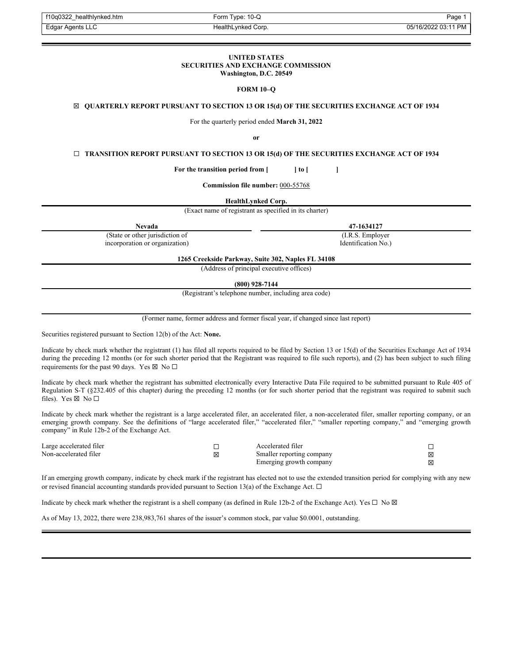| f10q0322 healthlynked.htm | Form Type: 10-Q    | Page                |
|---------------------------|--------------------|---------------------|
| Edgar Agents LLC          | HealthLynked Corp. | 05/16/2022 03:11 PM |

## **UNITED STATES SECURITIES AND EXCHANGE COMMISSION Washington, D.C. 20549**

#### **FORM 10–Q**

☒ **QUARTERLY REPORT PURSUANT TO SECTION 13 OR 15(d) OF THE SECURITIES EXCHANGE ACT OF 1934**

For the quarterly period ended **March 31, 2022**

**or**

☐ **TRANSITION REPORT PURSUANT TO SECTION 13 OR 15(d) OF THE SECURITIES EXCHANGE ACT OF 1934**

For the transition period from  $\begin{bmatrix} 1 & 1 \end{bmatrix}$ 

**Commission file number:** 000-55768

**HealthLynked Corp.**

(Exact name of registrant as specified in its charter)

(State or other jurisdiction of incorporation or organization)

**1265 Creekside Parkway, Suite 302, Naples FL 34108**

(Address of principal executive offices)

**(800) 928-7144**

(Registrant's telephone number, including area code)

(Former name, former address and former fiscal year, if changed since last report)

Securities registered pursuant to Section 12(b) of the Act: **None.**

Indicate by check mark whether the registrant (1) has filed all reports required to be filed by Section 13 or 15(d) of the Securities Exchange Act of 1934 during the preceding 12 months (or for such shorter period that the Registrant was required to file such reports), and (2) has been subject to such filing requirements for the past 90 days. Yes  $\boxtimes$  No  $\Box$ 

Indicate by check mark whether the registrant has submitted electronically every Interactive Data File required to be submitted pursuant to Rule 405 of Regulation S-T (§232.405 of this chapter) during the preceding 12 months (or for such shorter period that the registrant was required to submit such files). Yes  $\boxtimes$  No  $\square$ 

Indicate by check mark whether the registrant is a large accelerated filer, an accelerated filer, a non-accelerated filer, smaller reporting company, or an emerging growth company. See the definitions of "large accelerated filer," "accelerated filer," "smaller reporting company," and "emerging growth company" in Rule 12b-2 of the Exchange Act.

| Large accelerated filer |   | Accelerated filer         |   |
|-------------------------|---|---------------------------|---|
| Non-accelerated filer   | ⊠ | Smaller reporting company | ⊠ |
|                         |   | Emerging growth company   | ⊠ |

If an emerging growth company, indicate by check mark if the registrant has elected not to use the extended transition period for complying with any new or revised financial accounting standards provided pursuant to Section 13(a) of the Exchange Act.  $\Box$ 

Indicate by check mark whether the registrant is a shell company (as defined in Rule 12b-2 of the Exchange Act). Yes  $\Box$  No  $\boxtimes$ 

As of May 13, 2022, there were 238,983,761 shares of the issuer's common stock, par value \$0.0001, outstanding.

**Nevada 47-1634127** (I.R.S. Employer

Identification No.)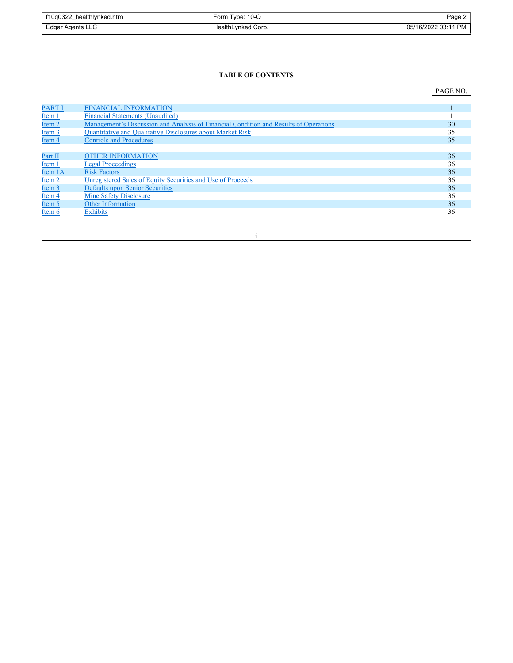| f10q0322_healthlynked.htm | Form Type: 10-Q    | Page 2              |
|---------------------------|--------------------|---------------------|
| Edgar Agents LLC          | HealthLynked Corp. | 05/16/2022 03:11 PM |

# **TABLE OF CONTENTS**

PAGE NO.

| <b>PART I</b> | <b>FINANCIAL INFORMATION</b>                                                          |    |
|---------------|---------------------------------------------------------------------------------------|----|
| Item 1        | <b>Financial Statements (Unaudited)</b>                                               |    |
| Item 2        | Management's Discussion and Analysis of Financial Condition and Results of Operations | 30 |
| Item 3        | <b>Quantitative and Qualitative Disclosures about Market Risk</b>                     | 35 |
| Item 4        | <b>Controls and Procedures</b>                                                        | 35 |
|               |                                                                                       |    |
| Part II       | <b>OTHER INFORMATION</b>                                                              | 36 |
| Item 1        | <b>Legal Proceedings</b>                                                              | 36 |
| Item 1A       | <b>Risk Factors</b>                                                                   | 36 |
| Item 2        | Unregistered Sales of Equity Securities and Use of Proceeds                           | 36 |
| Item 3        | Defaults upon Senior Securities                                                       | 36 |
| Item 4        | Mine Safety Disclosure                                                                | 36 |
| Item 5        | Other Information                                                                     | 36 |
| Item 6        | <b>Exhibits</b>                                                                       | 36 |
|               |                                                                                       |    |

i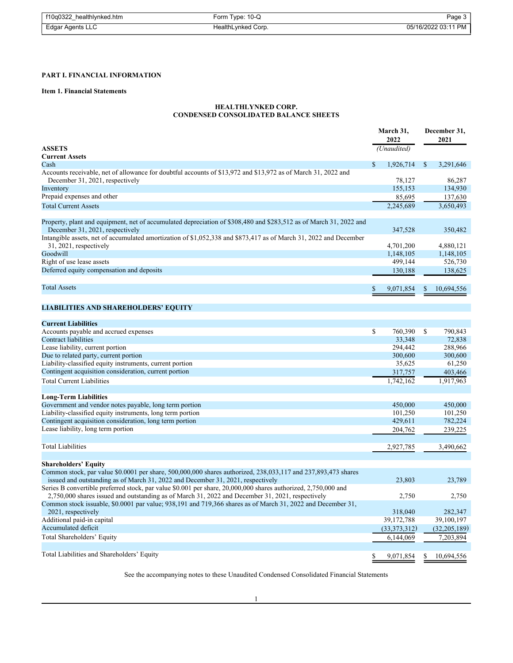| f10q0322 healthlynked.htm | Form Type: 10-Q    | Page 3              |
|---------------------------|--------------------|---------------------|
| Edgar Agents LLC          | HealthLynked Corp. | 05/16/2022 03:11 PM |

# **PART I. FINANCIAL INFORMATION**

# **Item 1. Financial Statements**

# **HEALTHLYNKED CORP. CONDENSED CONSOLIDATED BALANCE SHEETS**

|                                                                                                                                                       |    | March 31,<br>2022 | December 31,<br>2021 |                   |
|-------------------------------------------------------------------------------------------------------------------------------------------------------|----|-------------------|----------------------|-------------------|
| <b>ASSETS</b>                                                                                                                                         |    | (Unaudited)       |                      |                   |
| <b>Current Assets</b>                                                                                                                                 |    |                   |                      |                   |
| Cash                                                                                                                                                  | \$ | 1,926,714         | $\mathbb{S}$         | 3,291,646         |
| Accounts receivable, net of allowance for doubtful accounts of \$13,972 and \$13,972 as of March 31, 2022 and                                         |    |                   |                      |                   |
| December 31, 2021, respectively                                                                                                                       |    | 78,127<br>155,153 |                      | 86,287<br>134,930 |
| Inventory<br>Prepaid expenses and other                                                                                                               |    |                   |                      |                   |
|                                                                                                                                                       |    | 85,695            |                      | 137,630           |
| <b>Total Current Assets</b>                                                                                                                           |    | 2.245.689         |                      | 3.650.493         |
| Property, plant and equipment, net of accumulated depreciation of \$308,480 and \$283,512 as of March 31, 2022 and<br>December 31, 2021, respectively |    | 347,528           |                      | 350,482           |
| Intangible assets, net of accumulated amortization of \$1,052,338 and \$873,417 as of March 31, 2022 and December                                     |    |                   |                      |                   |
| 31, 2021, respectively                                                                                                                                |    | 4,701,200         |                      | 4,880,121         |
| Goodwill                                                                                                                                              |    | 1,148,105         |                      | 1,148,105         |
| Right of use lease assets                                                                                                                             |    | 499,144           |                      | 526,730           |
| Deferred equity compensation and deposits                                                                                                             |    | 130,188           |                      | 138,625           |
|                                                                                                                                                       |    |                   |                      |                   |
| <b>Total Assets</b>                                                                                                                                   | S  | 9,071,854         | \$                   | 10,694,556        |
|                                                                                                                                                       |    |                   |                      |                   |
|                                                                                                                                                       |    |                   |                      |                   |
| <b>LIABILITIES AND SHAREHOLDERS' EQUITY</b>                                                                                                           |    |                   |                      |                   |
| <b>Current Liabilities</b>                                                                                                                            |    |                   |                      |                   |
| Accounts payable and accrued expenses                                                                                                                 | \$ | 760,390           | \$                   | 790,843           |
| Contract liabilities                                                                                                                                  |    | 33,348            |                      | 72,838            |
| Lease liability, current portion                                                                                                                      |    | 294,442           |                      | 288,966           |
| Due to related party, current portion                                                                                                                 |    | 300,600           |                      | 300,600           |
| Liability-classified equity instruments, current portion                                                                                              |    | 35,625            |                      | 61,250            |
| Contingent acquisition consideration, current portion                                                                                                 |    | 317,757           |                      | 403,466           |
| <b>Total Current Liabilities</b>                                                                                                                      |    | 1,742,162         |                      | 1,917,963         |
|                                                                                                                                                       |    |                   |                      |                   |
| <b>Long-Term Liabilities</b>                                                                                                                          |    |                   |                      |                   |
| Government and vendor notes payable, long term portion                                                                                                |    | 450,000           |                      | 450,000           |
| Liability-classified equity instruments, long term portion                                                                                            |    | 101,250           |                      | 101,250           |
| Contingent acquisition consideration, long term portion                                                                                               |    | 429,611           |                      | 782,224           |
| Lease liability, long term portion                                                                                                                    |    | 204,762           |                      | 239,225           |
| <b>Total Liabilities</b>                                                                                                                              |    | 2,927,785         |                      | 3,490,662         |
|                                                                                                                                                       |    |                   |                      |                   |
| <b>Shareholders' Equity</b>                                                                                                                           |    |                   |                      |                   |
| Common stock, par value \$0.0001 per share, 500,000,000 shares authorized, 238,033,117 and 237,893,473 shares                                         |    |                   |                      |                   |
| issued and outstanding as of March 31, 2022 and December 31, 2021, respectively                                                                       |    | 23,803            |                      | 23,789            |
| Series B convertible preferred stock, par value \$0.001 per share, 20,000,000 shares authorized, 2,750,000 and                                        |    |                   |                      |                   |
| 2,750,000 shares issued and outstanding as of March 31, 2022 and December 31, 2021, respectively                                                      |    | 2,750             |                      | 2,750             |
| Common stock issuable, \$0.0001 par value; 938,191 and 719,366 shares as of March 31, 2022 and December 31,                                           |    |                   |                      |                   |
| 2021, respectively                                                                                                                                    |    | 318,040           |                      | 282,347           |
| Additional paid-in capital                                                                                                                            |    | 39, 172, 788      |                      | 39,100,197        |
| Accumulated deficit                                                                                                                                   |    | (33,373,312)      |                      | (32, 205, 189)    |
| Total Shareholders' Equity                                                                                                                            |    | 6,144,069         |                      | 7,203,894         |
|                                                                                                                                                       |    |                   |                      |                   |
| Total Liabilities and Shareholders' Equity                                                                                                            | \$ | 9,071,854         | \$                   | 10,694,556        |
|                                                                                                                                                       |    |                   |                      |                   |

See the accompanying notes to these Unaudited Condensed Consolidated Financial Statements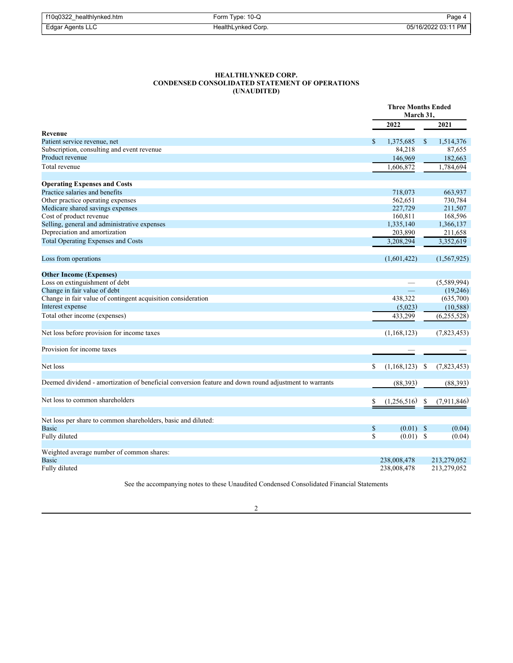| f10q0322 healthlynked.htm | Form Type: 10-Q    | $P$ aqe 4           |
|---------------------------|--------------------|---------------------|
| Edgar Agents LLC          | HealthLynked Corp. | 05/16/2022 03:11 PM |

# **HEALTHLYNKED CORP. CONDENSED CONSOLIDATED STATEMENT OF OPERATIONS (UNAUDITED)**

|                                                                                                       | <b>Three Months Ended</b><br>March 31, |    |             |
|-------------------------------------------------------------------------------------------------------|----------------------------------------|----|-------------|
|                                                                                                       | 2022                                   |    | 2021        |
| Revenue                                                                                               |                                        |    |             |
| Patient service revenue, net                                                                          | \$<br>1,375,685                        | \$ | 1,514,376   |
| Subscription, consulting and event revenue                                                            | 84,218                                 |    | 87,655      |
| Product revenue                                                                                       | 146,969                                |    | 182,663     |
| Total revenue                                                                                         | 1,606,872                              |    | 1,784,694   |
| <b>Operating Expenses and Costs</b>                                                                   |                                        |    |             |
| Practice salaries and benefits                                                                        | 718,073                                |    | 663,937     |
| Other practice operating expenses                                                                     | 562,651                                |    | 730,784     |
| Medicare shared savings expenses                                                                      | 227,729                                |    | 211,507     |
| Cost of product revenue                                                                               | 160,811                                |    | 168,596     |
| Selling, general and administrative expenses                                                          | 1,335,140                              |    | 1,366,137   |
| Depreciation and amortization                                                                         | 203,890                                |    | 211,658     |
| <b>Total Operating Expenses and Costs</b>                                                             | 3,208,294                              |    | 3,352,619   |
| Loss from operations                                                                                  | (1,601,422)                            |    | (1,567,925) |
| <b>Other Income (Expenses)</b>                                                                        |                                        |    |             |
| Loss on extinguishment of debt                                                                        |                                        |    | (5,589,994) |
| Change in fair value of debt                                                                          |                                        |    | (19,246)    |
| Change in fair value of contingent acquisition consideration                                          | 438,322                                |    | (635,700)   |
| Interest expense                                                                                      | (5,023)                                |    | (10, 588)   |
| Total other income (expenses)                                                                         | 433,299                                |    | (6,255,528) |
| Net loss before provision for income taxes                                                            | (1,168,123)                            |    | (7,823,453) |
| Provision for income taxes                                                                            |                                        |    |             |
|                                                                                                       |                                        |    |             |
| Net loss                                                                                              | \$<br>$(1,168,123)$ \$                 |    | (7,823,453) |
| Deemed dividend - amortization of beneficial conversion feature and down round adjustment to warrants | (88, 393)                              |    | (88, 393)   |
| Net loss to common shareholders                                                                       | \$<br>(1,256,516)                      | \$ | (7,911,846) |
|                                                                                                       |                                        |    |             |
| Net loss per share to common shareholders, basic and diluted:                                         |                                        |    |             |
| <b>Basic</b>                                                                                          | \$<br>$(0.01)$ \$                      |    | (0.04)      |
| Fully diluted                                                                                         | \$<br>$(0.01)$ \$                      |    | (0.04)      |
| Weighted average number of common shares:                                                             |                                        |    |             |
| <b>Basic</b>                                                                                          | 238,008,478                            |    | 213,279,052 |
| Fully diluted                                                                                         | 238,008,478                            |    | 213,279,052 |

See the accompanying notes to these Unaudited Condensed Consolidated Financial Statements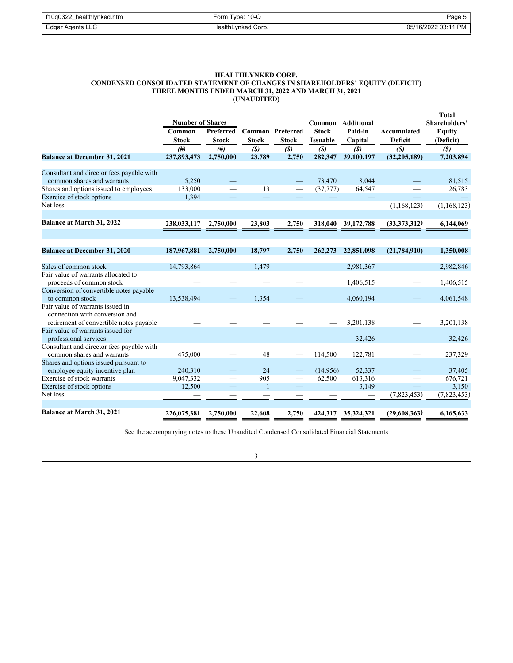| f10q0322_healthlynked.htm | Form Type: 10-Q    | Page 5              |
|---------------------------|--------------------|---------------------|
| Edgar Agents LLC          | HealthLynked Corp. | 05/16/2022 03:11 PM |

## **HEALTHLYNKED CORP. CONDENSED CONSOLIDATED STATEMENT OF CHANGES IN SHAREHOLDERS' EQUITY (DEFICIT) THREE MONTHS ENDED MARCH 31, 2022 AND MARCH 31, 2021 (UNAUDITED)**

|                                                                                                               | <b>Number of Shares</b> |                           |                                |                                         | Common                          | <b>Additional</b>      |                               | <b>Total</b><br>Shareholders' |
|---------------------------------------------------------------------------------------------------------------|-------------------------|---------------------------|--------------------------------|-----------------------------------------|---------------------------------|------------------------|-------------------------------|-------------------------------|
|                                                                                                               | Common<br><b>Stock</b>  | Preferred<br><b>Stock</b> | <b>Stock</b>                   | <b>Common Preferred</b><br><b>Stock</b> | <b>Stock</b><br><b>Issuable</b> | Paid-in<br>Capital     | Accumulated<br><b>Deficit</b> | <b>Equity</b><br>(Deficit)    |
| <b>Balance at December 31, 2021</b>                                                                           | #)<br>237,893,473       | #)<br>2,750,000           | (S)<br>23,789                  | (S)<br>2,750                            | (S)<br>282,347                  | (S)<br>39,100,197      | (S)<br>(32, 205, 189)         | (S)<br>7,203,894              |
| Consultant and director fees payable with<br>common shares and warrants                                       | 5,250                   |                           | $\mathbf{1}$                   |                                         | 73,470                          | 8,044                  |                               | 81,515                        |
| Shares and options issued to employees<br>Exercise of stock options                                           | 133,000<br>1,394        |                           | 13<br>$\overline{\phantom{0}}$ |                                         | (37, 777)                       | 64,547                 |                               | 26,783                        |
| Net loss                                                                                                      |                         |                           |                                |                                         |                                 |                        | (1,168,123)                   | (1,168,123)                   |
| Balance at March 31, 2022                                                                                     | 238,033,117             | 2,750,000                 | 23,803                         | 2,750                                   | 318,040                         | 39, 172, 788           | (33,373,312)                  | 6,144,069                     |
| <b>Balance at December 31, 2020</b>                                                                           | 187,967,881             | 2,750,000                 | 18,797                         | 2,750                                   | 262,273                         | 22,851,098             | (21,784,910)                  | 1,350,008                     |
| Sales of common stock<br>Fair value of warrants allocated to                                                  | 14,793,864              |                           | 1,479                          |                                         |                                 | 2,981,367              |                               | 2,982,846                     |
| proceeds of common stock<br>Conversion of convertible notes payable<br>to common stock                        | 13,538,494              |                           | 1,354                          |                                         |                                 | 1,406,515<br>4,060,194 |                               | 1,406,515<br>4,061,548        |
| Fair value of warrants issued in<br>connection with conversion and<br>retirement of convertible notes payable |                         |                           |                                |                                         |                                 | 3,201,138              |                               | 3,201,138                     |
| Fair value of warrants issued for<br>professional services                                                    |                         |                           |                                |                                         |                                 | 32,426                 |                               | 32,426                        |
| Consultant and director fees payable with<br>common shares and warrants                                       | 475,000                 |                           | 48                             |                                         | 114,500                         | 122,781                |                               | 237,329                       |
| Shares and options issued pursuant to<br>employee equity incentive plan<br>Exercise of stock warrants         | 240,310<br>9,047,332    |                           | 24<br>905                      |                                         | (14,956)<br>62,500              | 52,337<br>613,316      |                               | 37,405<br>676,721             |
| Exercise of stock options                                                                                     | 12,500                  |                           | $\mathbf{1}$                   |                                         |                                 | 3,149                  |                               | 3,150                         |
| Net loss                                                                                                      |                         |                           |                                |                                         |                                 |                        | (7,823,453)                   | (7,823,453)                   |
| <b>Balance at March 31, 2021</b>                                                                              | 226,075,381             | 2,750,000                 | 22,608                         | 2,750                                   | 424,317                         | 35,324,321             | (29,608,363)                  | 6.165.633                     |

See the accompanying notes to these Unaudited Condensed Consolidated Financial Statements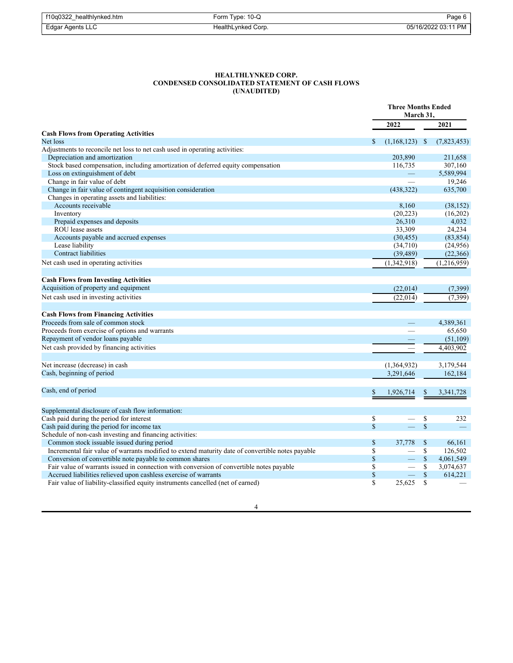| f10q0322_healthlynked.htm | Form Type: 10-Q    | Page $61$           |
|---------------------------|--------------------|---------------------|
| Edgar Agents LLC          | HealthLynked Corp. | 05/16/2022 03:11 PM |

#### **HEALTHLYNKED CORP. CONDENSED CONSOLIDATED STATEMENT OF CASH FLOWS (UNAUDITED)**

|                                                                                                  | <b>Three Months Ended</b><br>March 31, |              |             |
|--------------------------------------------------------------------------------------------------|----------------------------------------|--------------|-------------|
|                                                                                                  | 2022                                   |              | 2021        |
| <b>Cash Flows from Operating Activities</b>                                                      |                                        |              |             |
| Net loss                                                                                         | \$<br>(1,168,123)                      | -\$          | (7,823,453) |
| Adjustments to reconcile net loss to net cash used in operating activities:                      |                                        |              |             |
| Depreciation and amortization                                                                    | 203,890                                |              | 211,658     |
| Stock based compensation, including amortization of deferred equity compensation                 | 116,735                                |              | 307,160     |
| Loss on extinguishment of debt                                                                   |                                        |              | 5,589,994   |
| Change in fair value of debt                                                                     |                                        |              | 19,246      |
| Change in fair value of contingent acquisition consideration                                     | (438, 322)                             |              | 635,700     |
| Changes in operating assets and liabilities:                                                     |                                        |              |             |
| Accounts receivable                                                                              | 8,160                                  |              | (38, 152)   |
| Inventory                                                                                        | (20, 223)                              |              | (16,202)    |
| Prepaid expenses and deposits                                                                    | 26,310                                 |              | 4,032       |
| ROU lease assets                                                                                 | 33,309                                 |              | 24,234      |
| Accounts payable and accrued expenses                                                            | (30, 455)                              |              | (83, 854)   |
| Lease liability                                                                                  | (34,710)                               |              | (24,956)    |
| <b>Contract liabilities</b>                                                                      | (39, 489)                              |              | (22, 366)   |
| Net cash used in operating activities                                                            | (1,342,918)                            |              | (1,216,959) |
| <b>Cash Flows from Investing Activities</b>                                                      |                                        |              |             |
| Acquisition of property and equipment                                                            | (22,014)                               |              | (7,399)     |
| Net cash used in investing activities                                                            | (22, 014)                              |              | (7, 399)    |
| <b>Cash Flows from Financing Activities</b>                                                      |                                        |              |             |
| Proceeds from sale of common stock                                                               |                                        |              | 4,389,361   |
| Proceeds from exercise of options and warrants                                                   |                                        |              | 65,650      |
| Repayment of vendor loans payable                                                                |                                        |              | (51, 109)   |
| Net cash provided by financing activities                                                        |                                        |              | 4,403,902   |
| Net increase (decrease) in cash                                                                  | (1,364,932)                            |              | 3,179,544   |
| Cash, beginning of period                                                                        | 3,291,646                              |              | 162,184     |
|                                                                                                  |                                        |              |             |
| Cash, end of period                                                                              | \$<br>1,926,714                        | \$           | 3,341,728   |
| Supplemental disclosure of cash flow information:                                                |                                        |              |             |
| Cash paid during the period for interest                                                         | \$                                     | \$           | 232         |
| Cash paid during the period for income tax                                                       | \$                                     | \$           |             |
| Schedule of non-cash investing and financing activities:                                         |                                        |              |             |
| Common stock issuable issued during period                                                       | \$<br>37,778                           | \$           | 66,161      |
| Incremental fair value of warrants modified to extend maturity date of convertible notes payable | \$                                     | \$           | 126,502     |
| Conversion of convertible note payable to common shares                                          | \$                                     | $\$$         | 4,061,549   |
| Fair value of warrants issued in connection with conversion of convertible notes payable         | \$                                     | \$           | 3,074,637   |
| Accrued liabilities relieved upon cashless exercise of warrants                                  | \$                                     | $\mathbb{S}$ | 614,221     |
| Fair value of liability-classified equity instruments cancelled (net of earned)                  | \$<br>25,625                           | \$           |             |

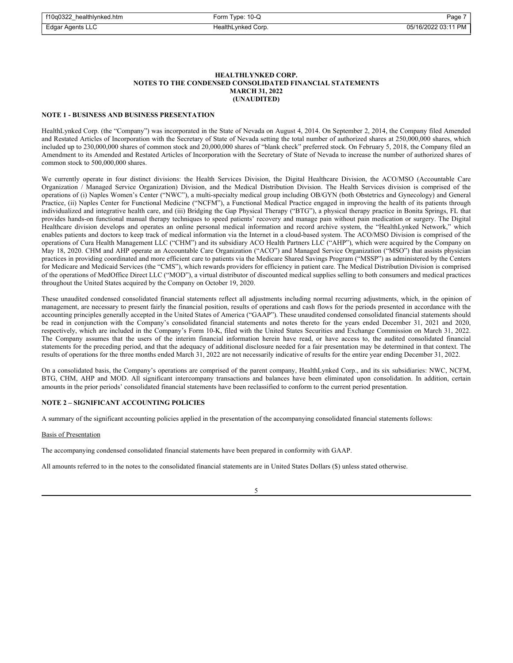| f10q0322_healthlynked.htm | Form Type: 10-Q    | Page 7              |
|---------------------------|--------------------|---------------------|
| Edgar Agents LLC          | HealthLynked Corp. | 05/16/2022 03:11 PM |

## **NOTE 1 - BUSINESS AND BUSINESS PRESENTATION**

HealthLynked Corp. (the "Company") was incorporated in the State of Nevada on August 4, 2014. On September 2, 2014, the Company filed Amended and Restated Articles of Incorporation with the Secretary of State of Nevada setting the total number of authorized shares at 250,000,000 shares, which included up to 230,000,000 shares of common stock and 20,000,000 shares of "blank check" preferred stock. On February 5, 2018, the Company filed an Amendment to its Amended and Restated Articles of Incorporation with the Secretary of State of Nevada to increase the number of authorized shares of common stock to 500,000,000 shares.

We currently operate in four distinct divisions: the Health Services Division, the Digital Healthcare Division, the ACO/MSO (Accountable Care Organization / Managed Service Organization) Division, and the Medical Distribution Division. The Health Services division is comprised of the operations of (i) Naples Women's Center ("NWC"), a multi-specialty medical group including OB/GYN (both Obstetrics and Gynecology) and General Practice, (ii) Naples Center for Functional Medicine ("NCFM"), a Functional Medical Practice engaged in improving the health of its patients through individualized and integrative health care, and (iii) Bridging the Gap Physical Therapy ("BTG"), a physical therapy practice in Bonita Springs, FL that provides hands-on functional manual therapy techniques to speed patients' recovery and manage pain without pain medication or surgery. The Digital Healthcare division develops and operates an online personal medical information and record archive system, the "HealthLynked Network," which enables patients and doctors to keep track of medical information via the Internet in a cloud-based system. The ACO/MSO Division is comprised of the operations of Cura Health Management LLC ("CHM") and its subsidiary ACO Health Partners LLC ("AHP"), which were acquired by the Company on May 18, 2020. CHM and AHP operate an Accountable Care Organization ("ACO") and Managed Service Organization ("MSO") that assists physician practices in providing coordinated and more efficient care to patients via the Medicare Shared Savings Program ("MSSP") as administered by the Centers for Medicare and Medicaid Services (the "CMS"), which rewards providers for efficiency in patient care. The Medical Distribution Division is comprised of the operations of MedOffice Direct LLC ("MOD"), a virtual distributor of discounted medical supplies selling to both consumers and medical practices throughout the United States acquired by the Company on October 19, 2020.

These unaudited condensed consolidated financial statements reflect all adjustments including normal recurring adjustments, which, in the opinion of management, are necessary to present fairly the financial position, results of operations and cash flows for the periods presented in accordance with the accounting principles generally accepted in the United States of America ("GAAP"). These unaudited condensed consolidated financial statements should be read in conjunction with the Company's consolidated financial statements and notes thereto for the years ended December 31, 2021 and 2020, respectively, which are included in the Company's Form 10-K, filed with the United States Securities and Exchange Commission on March 31, 2022. The Company assumes that the users of the interim financial information herein have read, or have access to, the audited consolidated financial statements for the preceding period, and that the adequacy of additional disclosure needed for a fair presentation may be determined in that context. The results of operations for the three months ended March 31, 2022 are not necessarily indicative of results for the entire year ending December 31, 2022.

On a consolidated basis, the Company's operations are comprised of the parent company, HealthLynked Corp., and its six subsidiaries: NWC, NCFM, BTG, CHM, AHP and MOD. All significant intercompany transactions and balances have been eliminated upon consolidation. In addition, certain amounts in the prior periods' consolidated financial statements have been reclassified to conform to the current period presentation.

## **NOTE 2 – SIGNIFICANT ACCOUNTING POLICIES**

A summary of the significant accounting policies applied in the presentation of the accompanying consolidated financial statements follows:

#### Basis of Presentation

The accompanying condensed consolidated financial statements have been prepared in conformity with GAAP.

All amounts referred to in the notes to the consolidated financial statements are in United States Dollars (\$) unless stated otherwise.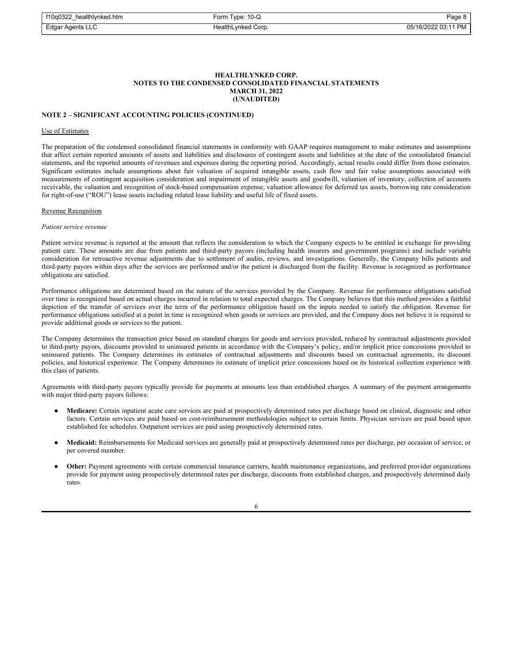| f10q0322 healthlynked.htm | Form Type: 10-Q    | Page 8              |
|---------------------------|--------------------|---------------------|
| Edgar Agents LLC          | HealthLynked Corp. | 05/16/2022 03:11 PM |

## **NOTE 2 – SIGNIFICANT ACCOUNTING POLICIES (CONTINUED)**

#### Use of Estimates

The preparation of the condensed consolidated financial statements in conformity with GAAP requires management to make estimates and assumptions that affect certain reported amounts of assets and liabilities and disclosures of contingent assets and liabilities at the date of the consolidated financial statements, and the reported amounts of revenues and expenses during the reporting period. Accordingly, actual results could differ from those estimates. Significant estimates include assumptions about fair valuation of acquired intangible assets, cash flow and fair value assumptions associated with measurements of contingent acquisition consideration and impairment of intangible assets and goodwill, valuation of inventory, collection of accounts receivable, the valuation and recognition of stock-based compensation expense, valuation allowance for deferred tax assets, borrowing rate consideration for right-of-use ("ROU") lease assets including related lease liability and useful life of fixed assets.

#### Revenue Recognition

#### *Patient service revenue*

Patient service revenue is reported at the amount that reflects the consideration to which the Company expects to be entitled in exchange for providing patient care. These amounts are due from patients and third-party payors (including health insurers and government programs) and include variable consideration for retroactive revenue adjustments due to settlement of audits, reviews, and investigations. Generally, the Company bills patients and third-party payors within days after the services are performed and/or the patient is discharged from the facility. Revenue is recognized as performance obligations are satisfied.

Performance obligations are determined based on the nature of the services provided by the Company. Revenue for performance obligations satisfied over time is recognized based on actual charges incurred in relation to total expected charges. The Company believes that this method provides a faithful depiction of the transfer of services over the term of the performance obligation based on the inputs needed to satisfy the obligation. Revenue for performance obligations satisfied at a point in time is recognized when goods or services are provided, and the Company does not believe it is required to provide additional goods or services to the patient.

The Company determines the transaction price based on standard charges for goods and services provided, reduced by contractual adjustments provided to third-party payors, discounts provided to uninsured patients in accordance with the Company's policy, and/or implicit price concessions provided to uninsured patients. The Company determines its estimates of contractual adjustments and discounts based on contractual agreements, its discount policies, and historical experience. The Company determines its estimate of implicit price concessions based on its historical collection experience with this class of patients.

Agreements with third-party payors typically provide for payments at amounts less than established charges. A summary of the payment arrangements with major third-party payors follows:

- Medicare: Certain inpatient acute care services are paid at prospectively determined rates per discharge based on clinical, diagnostic and other factors. Certain services are paid based on cost-reimbursement methodologies subject to certain limits. Physician services are paid based upon established fee schedules. Outpatient services are paid using prospectively determined rates.
- **Medicaid:** Reimbursements for Medicaid services are generally paid at prospectively determined rates per discharge, per occasion of service, or per covered member.
- **Other:** Payment agreements with certain commercial insurance carriers, health maintenance organizations, and preferred provider organizations provide for payment using prospectively determined rates per discharge, discounts from established charges, and prospectively determined daily rates.

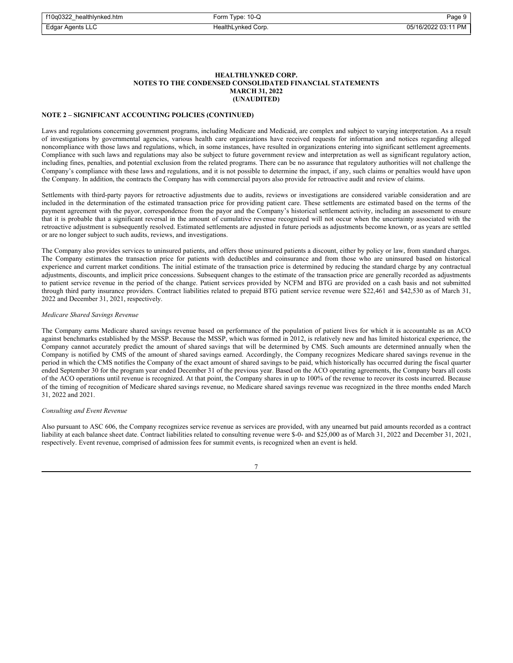| f10q0322_healthlynked.htm | Form Type: 10-Q    | Paqe 9              |
|---------------------------|--------------------|---------------------|
| Edgar Agents LLC          | HealthLynked Corp. | 05/16/2022 03:11 PM |

## **NOTE 2 – SIGNIFICANT ACCOUNTING POLICIES (CONTINUED)**

Laws and regulations concerning government programs, including Medicare and Medicaid, are complex and subject to varying interpretation. As a result of investigations by governmental agencies, various health care organizations have received requests for information and notices regarding alleged noncompliance with those laws and regulations, which, in some instances, have resulted in organizations entering into significant settlement agreements. Compliance with such laws and regulations may also be subject to future government review and interpretation as well as significant regulatory action, including fines, penalties, and potential exclusion from the related programs. There can be no assurance that regulatory authorities will not challenge the Company's compliance with these laws and regulations, and it is not possible to determine the impact, if any, such claims or penalties would have upon the Company. In addition, the contracts the Company has with commercial payors also provide for retroactive audit and review of claims.

Settlements with third-party payors for retroactive adjustments due to audits, reviews or investigations are considered variable consideration and are included in the determination of the estimated transaction price for providing patient care. These settlements are estimated based on the terms of the payment agreement with the payor, correspondence from the payor and the Company's historical settlement activity, including an assessment to ensure that it is probable that a significant reversal in the amount of cumulative revenue recognized will not occur when the uncertainty associated with the retroactive adjustment is subsequently resolved. Estimated settlements are adjusted in future periods as adjustments become known, or as years are settled or are no longer subject to such audits, reviews, and investigations.

The Company also provides services to uninsured patients, and offers those uninsured patients a discount, either by policy or law, from standard charges. The Company estimates the transaction price for patients with deductibles and coinsurance and from those who are uninsured based on historical experience and current market conditions. The initial estimate of the transaction price is determined by reducing the standard charge by any contractual adjustments, discounts, and implicit price concessions. Subsequent changes to the estimate of the transaction price are generally recorded as adjustments to patient service revenue in the period of the change. Patient services provided by NCFM and BTG are provided on a cash basis and not submitted through third party insurance providers. Contract liabilities related to prepaid BTG patient service revenue were \$22,461 and \$42,530 as of March 31, 2022 and December 31, 2021, respectively.

#### *Medicare Shared Savings Revenue*

The Company earns Medicare shared savings revenue based on performance of the population of patient lives for which it is accountable as an ACO against benchmarks established by the MSSP. Because the MSSP, which was formed in 2012, is relatively new and has limited historical experience, the Company cannot accurately predict the amount of shared savings that will be determined by CMS. Such amounts are determined annually when the Company is notified by CMS of the amount of shared savings earned. Accordingly, the Company recognizes Medicare shared savings revenue in the period in which the CMS notifies the Company of the exact amount of shared savings to be paid, which historically has occurred during the fiscal quarter ended September 30 for the program year ended December 31 of the previous year. Based on the ACO operating agreements, the Company bears all costs of the ACO operations until revenue is recognized. At that point, the Company shares in up to 100% of the revenue to recover its costs incurred. Because of the timing of recognition of Medicare shared savings revenue, no Medicare shared savings revenue was recognized in the three months ended March 31, 2022 and 2021.

### *Consulting and Event Revenue*

Also pursuant to ASC 606, the Company recognizes service revenue as services are provided, with any unearned but paid amounts recorded as a contract liability at each balance sheet date. Contract liabilities related to consulting revenue were \$-0- and \$25,000 as of March 31, 2022 and December 31, 2021, respectively. Event revenue, comprised of admission fees for summit events, is recognized when an event is held.

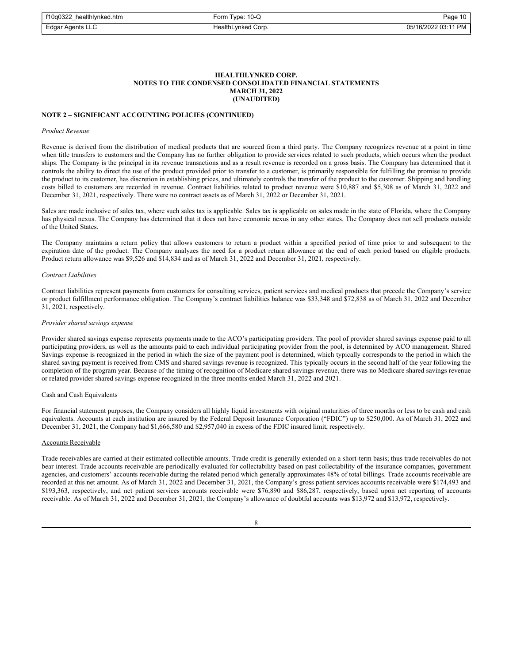| f10q0322_healthlynked.htm | Form Type: 10-Q    | Page 10             |
|---------------------------|--------------------|---------------------|
| Edgar Agents LLC          | HealthLynked Corp. | 05/16/2022 03:11 PM |

### **NOTE 2 – SIGNIFICANT ACCOUNTING POLICIES (CONTINUED)**

#### *Product Revenue*

Revenue is derived from the distribution of medical products that are sourced from a third party. The Company recognizes revenue at a point in time when title transfers to customers and the Company has no further obligation to provide services related to such products, which occurs when the product ships. The Company is the principal in its revenue transactions and as a result revenue is recorded on a gross basis. The Company has determined that it controls the ability to direct the use of the product provided prior to transfer to a customer, is primarily responsible for fulfilling the promise to provide the product to its customer, has discretion in establishing prices, and ultimately controls the transfer of the product to the customer. Shipping and handling costs billed to customers are recorded in revenue. Contract liabilities related to product revenue were \$10,887 and \$5,308 as of March 31, 2022 and December 31, 2021, respectively. There were no contract assets as of March 31, 2022 or December 31, 2021.

Sales are made inclusive of sales tax, where such sales tax is applicable. Sales tax is applicable on sales made in the state of Florida, where the Company has physical nexus. The Company has determined that it does not have economic nexus in any other states. The Company does not sell products outside of the United States.

The Company maintains a return policy that allows customers to return a product within a specified period of time prior to and subsequent to the expiration date of the product. The Company analyzes the need for a product return allowance at the end of each period based on eligible products. Product return allowance was \$9,526 and \$14,834 and as of March 31, 2022 and December 31, 2021, respectively.

#### *Contract Liabilities*

Contract liabilities represent payments from customers for consulting services, patient services and medical products that precede the Company's service or product fulfillment performance obligation. The Company's contract liabilities balance was \$33,348 and \$72,838 as of March 31, 2022 and December 31, 2021, respectively.

### *Provider shared savings expense*

Provider shared savings expense represents payments made to the ACO's participating providers. The pool of provider shared savings expense paid to all participating providers, as well as the amounts paid to each individual participating provider from the pool, is determined by ACO management. Shared Savings expense is recognized in the period in which the size of the payment pool is determined, which typically corresponds to the period in which the shared saving payment is received from CMS and shared savings revenue is recognized. This typically occurs in the second half of the year following the completion of the program year. Because of the timing of recognition of Medicare shared savings revenue, there was no Medicare shared savings revenue or related provider shared savings expense recognized in the three months ended March 31, 2022 and 2021.

## Cash and Cash Equivalents

For financial statement purposes, the Company considers all highly liquid investments with original maturities of three months or less to be cash and cash equivalents. Accounts at each institution are insured by the Federal Deposit Insurance Corporation ("FDIC") up to \$250,000. As of March 31, 2022 and December 31, 2021, the Company had \$1,666,580 and \$2,957,040 in excess of the FDIC insured limit, respectively.

#### Accounts Receivable

Trade receivables are carried at their estimated collectible amounts. Trade credit is generally extended on a short-term basis; thus trade receivables do not bear interest. Trade accounts receivable are periodically evaluated for collectability based on past collectability of the insurance companies, government agencies, and customers' accounts receivable during the related period which generally approximates 48% of total billings. Trade accounts receivable are recorded at this net amount. As of March 31, 2022 and December 31, 2021, the Company's gross patient services accounts receivable were \$174,493 and \$193,363, respectively, and net patient services accounts receivable were \$76,890 and \$86,287, respectively, based upon net reporting of accounts receivable. As of March 31, 2022 and December 31, 2021, the Company's allowance of doubtful accounts was \$13,972 and \$13,972, respectively.

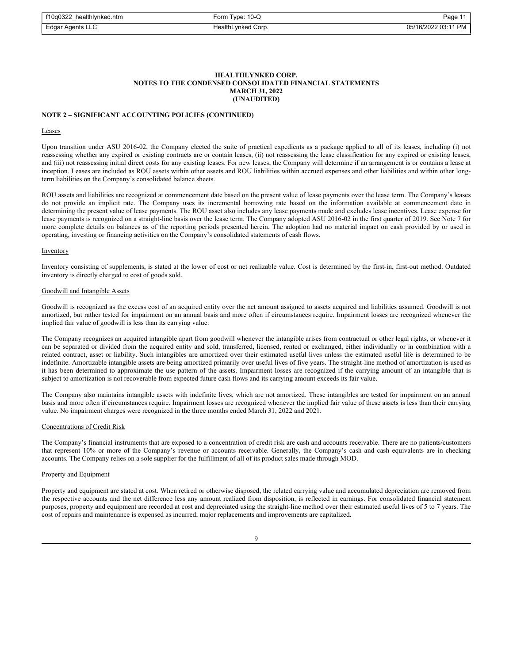| f10q0322_healthlynked.htm | Form Type: 10-Q    | Page 1              |
|---------------------------|--------------------|---------------------|
| Edgar Agents LLC          | HealthLynked Corp. | 05/16/2022 03:11 PM |

### **NOTE 2 – SIGNIFICANT ACCOUNTING POLICIES (CONTINUED)**

#### Leases

Upon transition under ASU 2016-02, the Company elected the suite of practical expedients as a package applied to all of its leases, including (i) not reassessing whether any expired or existing contracts are or contain leases, (ii) not reassessing the lease classification for any expired or existing leases, and (iii) not reassessing initial direct costs for any existing leases. For new leases, the Company will determine if an arrangement is or contains a lease at inception. Leases are included as ROU assets within other assets and ROU liabilities within accrued expenses and other liabilities and within other longterm liabilities on the Company's consolidated balance sheets.

ROU assets and liabilities are recognized at commencement date based on the present value of lease payments over the lease term. The Company's leases do not provide an implicit rate. The Company uses its incremental borrowing rate based on the information available at commencement date in determining the present value of lease payments. The ROU asset also includes any lease payments made and excludes lease incentives. Lease expense for lease payments is recognized on a straight-line basis over the lease term. The Company adopted ASU 2016-02 in the first quarter of 2019. See Note 7 for more complete details on balances as of the reporting periods presented herein. The adoption had no material impact on cash provided by or used in operating, investing or financing activities on the Company's consolidated statements of cash flows.

#### Inventory

Inventory consisting of supplements, is stated at the lower of cost or net realizable value. Cost is determined by the first-in, first-out method. Outdated inventory is directly charged to cost of goods sold.

## Goodwill and Intangible Assets

Goodwill is recognized as the excess cost of an acquired entity over the net amount assigned to assets acquired and liabilities assumed. Goodwill is not amortized, but rather tested for impairment on an annual basis and more often if circumstances require. Impairment losses are recognized whenever the implied fair value of goodwill is less than its carrying value.

The Company recognizes an acquired intangible apart from goodwill whenever the intangible arises from contractual or other legal rights, or whenever it can be separated or divided from the acquired entity and sold, transferred, licensed, rented or exchanged, either individually or in combination with a related contract, asset or liability. Such intangibles are amortized over their estimated useful lives unless the estimated useful life is determined to be indefinite. Amortizable intangible assets are being amortized primarily over useful lives of five years. The straight-line method of amortization is used as it has been determined to approximate the use pattern of the assets. Impairment losses are recognized if the carrying amount of an intangible that is subject to amortization is not recoverable from expected future cash flows and its carrying amount exceeds its fair value.

The Company also maintains intangible assets with indefinite lives, which are not amortized. These intangibles are tested for impairment on an annual basis and more often if circumstances require. Impairment losses are recognized whenever the implied fair value of these assets is less than their carrying value. No impairment charges were recognized in the three months ended March 31, 2022 and 2021.

## Concentrations of Credit Risk

The Company's financial instruments that are exposed to a concentration of credit risk are cash and accounts receivable. There are no patients/customers that represent 10% or more of the Company's revenue or accounts receivable. Generally, the Company's cash and cash equivalents are in checking accounts. The Company relies on a sole supplier for the fulfillment of all of its product sales made through MOD.

## Property and Equipment

Property and equipment are stated at cost. When retired or otherwise disposed, the related carrying value and accumulated depreciation are removed from the respective accounts and the net difference less any amount realized from disposition, is reflected in earnings. For consolidated financial statement purposes, property and equipment are recorded at cost and depreciated using the straight-line method over their estimated useful lives of 5 to 7 years. The cost of repairs and maintenance is expensed as incurred; major replacements and improvements are capitalized.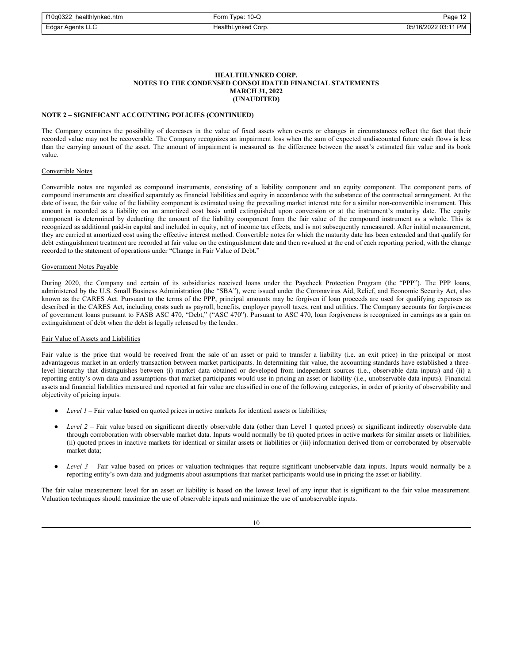| f10q0322 healthlynked.htm | Form Type: 10-Q    | Page 12             |
|---------------------------|--------------------|---------------------|
| Edgar Agents LLC          | HealthLynked Corp. | 05/16/2022 03:11 PM |

### **NOTE 2 – SIGNIFICANT ACCOUNTING POLICIES (CONTINUED)**

The Company examines the possibility of decreases in the value of fixed assets when events or changes in circumstances reflect the fact that their recorded value may not be recoverable. The Company recognizes an impairment loss when the sum of expected undiscounted future cash flows is less than the carrying amount of the asset. The amount of impairment is measured as the difference between the asset's estimated fair value and its book value.

# Convertible Notes

Convertible notes are regarded as compound instruments, consisting of a liability component and an equity component. The component parts of compound instruments are classified separately as financial liabilities and equity in accordance with the substance of the contractual arrangement. At the date of issue, the fair value of the liability component is estimated using the prevailing market interest rate for a similar non-convertible instrument. This amount is recorded as a liability on an amortized cost basis until extinguished upon conversion or at the instrument's maturity date. The equity component is determined by deducting the amount of the liability component from the fair value of the compound instrument as a whole. This is recognized as additional paid-in capital and included in equity, net of income tax effects, and is not subsequently remeasured. After initial measurement, they are carried at amortized cost using the effective interest method. Convertible notes for which the maturity date has been extended and that qualify for debt extinguishment treatment are recorded at fair value on the extinguishment date and then revalued at the end of each reporting period, with the change recorded to the statement of operations under "Change in Fair Value of Debt."

#### Government Notes Payable

During 2020, the Company and certain of its subsidiaries received loans under the Paycheck Protection Program (the "PPP"). The PPP loans, administered by the U.S. Small Business Administration (the "SBA"), were issued under the Coronavirus Aid, Relief, and Economic Security Act, also known as the CARES Act. Pursuant to the terms of the PPP, principal amounts may be forgiven if loan proceeds are used for qualifying expenses as described in the CARES Act, including costs such as payroll, benefits, employer payroll taxes, rent and utilities. The Company accounts for forgiveness of government loans pursuant to FASB ASC 470, "Debt," ("ASC 470"). Pursuant to ASC 470, loan forgiveness is recognized in earnings as a gain on extinguishment of debt when the debt is legally released by the lender.

#### Fair Value of Assets and Liabilities

Fair value is the price that would be received from the sale of an asset or paid to transfer a liability (i.e. an exit price) in the principal or most advantageous market in an orderly transaction between market participants. In determining fair value, the accounting standards have established a threelevel hierarchy that distinguishes between (i) market data obtained or developed from independent sources (i.e., observable data inputs) and (ii) a reporting entity's own data and assumptions that market participants would use in pricing an asset or liability (i.e., unobservable data inputs). Financial assets and financial liabilities measured and reported at fair value are classified in one of the following categories, in order of priority of observability and objectivity of pricing inputs:

- *Level 1* Fair value based on quoted prices in active markets for identical assets or liabilities*;*
- Level 2 Fair value based on significant directly observable data (other than Level 1 quoted prices) or significant indirectly observable data through corroboration with observable market data. Inputs would normally be (i) quoted prices in active markets for similar assets or liabilities, (ii) quoted prices in inactive markets for identical or similar assets or liabilities or (iii) information derived from or corroborated by observable market data;
- Level 3 Fair value based on prices or valuation techniques that require significant unobservable data inputs. Inputs would normally be a reporting entity's own data and judgments about assumptions that market participants would use in pricing the asset or liability.

The fair value measurement level for an asset or liability is based on the lowest level of any input that is significant to the fair value measurement. Valuation techniques should maximize the use of observable inputs and minimize the use of unobservable inputs.

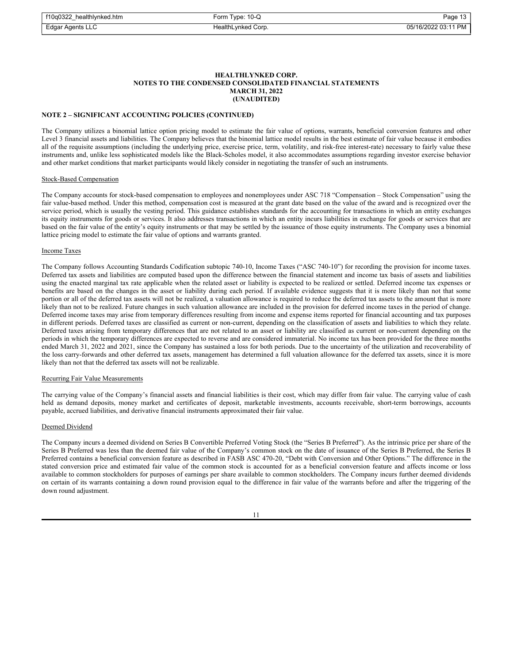| f10q0322 healthlynked.htm | Form Type: 10-Q    | Page 13             |
|---------------------------|--------------------|---------------------|
| Edgar Agents LLC          | HealthLynked Corp. | 05/16/2022 03:11 PM |

### **NOTE 2 – SIGNIFICANT ACCOUNTING POLICIES (CONTINUED)**

The Company utilizes a binomial lattice option pricing model to estimate the fair value of options, warrants, beneficial conversion features and other Level 3 financial assets and liabilities. The Company believes that the binomial lattice model results in the best estimate of fair value because it embodies all of the requisite assumptions (including the underlying price, exercise price, term, volatility, and risk-free interest-rate) necessary to fairly value these instruments and, unlike less sophisticated models like the Black-Scholes model, it also accommodates assumptions regarding investor exercise behavior and other market conditions that market participants would likely consider in negotiating the transfer of such an instruments.

#### Stock-Based Compensation

The Company accounts for stock-based compensation to employees and nonemployees under ASC 718 "Compensation – Stock Compensation" using the fair value-based method. Under this method, compensation cost is measured at the grant date based on the value of the award and is recognized over the service period, which is usually the vesting period. This guidance establishes standards for the accounting for transactions in which an entity exchanges its equity instruments for goods or services. It also addresses transactions in which an entity incurs liabilities in exchange for goods or services that are based on the fair value of the entity's equity instruments or that may be settled by the issuance of those equity instruments. The Company uses a binomial lattice pricing model to estimate the fair value of options and warrants granted.

#### Income Taxes

The Company follows Accounting Standards Codification subtopic 740-10, Income Taxes ("ASC 740-10") for recording the provision for income taxes. Deferred tax assets and liabilities are computed based upon the difference between the financial statement and income tax basis of assets and liabilities using the enacted marginal tax rate applicable when the related asset or liability is expected to be realized or settled. Deferred income tax expenses or benefits are based on the changes in the asset or liability during each period. If available evidence suggests that it is more likely than not that some portion or all of the deferred tax assets will not be realized, a valuation allowance is required to reduce the deferred tax assets to the amount that is more likely than not to be realized. Future changes in such valuation allowance are included in the provision for deferred income taxes in the period of change. Deferred income taxes may arise from temporary differences resulting from income and expense items reported for financial accounting and tax purposes in different periods. Deferred taxes are classified as current or non-current, depending on the classification of assets and liabilities to which they relate. Deferred taxes arising from temporary differences that are not related to an asset or liability are classified as current or non-current depending on the periods in which the temporary differences are expected to reverse and are considered immaterial. No income tax has been provided for the three months ended March 31, 2022 and 2021, since the Company has sustained a loss for both periods. Due to the uncertainty of the utilization and recoverability of the loss carry-forwards and other deferred tax assets, management has determined a full valuation allowance for the deferred tax assets, since it is more likely than not that the deferred tax assets will not be realizable.

# Recurring Fair Value Measurements

The carrying value of the Company's financial assets and financial liabilities is their cost, which may differ from fair value. The carrying value of cash held as demand deposits, money market and certificates of deposit, marketable investments, accounts receivable, short-term borrowings, accounts payable, accrued liabilities, and derivative financial instruments approximated their fair value.

## Deemed Dividend

The Company incurs a deemed dividend on Series B Convertible Preferred Voting Stock (the "Series B Preferred"). As the intrinsic price per share of the Series B Preferred was less than the deemed fair value of the Company's common stock on the date of issuance of the Series B Preferred, the Series B Preferred contains a beneficial conversion feature as described in FASB ASC 470-20, "Debt with Conversion and Other Options." The difference in the stated conversion price and estimated fair value of the common stock is accounted for as a beneficial conversion feature and affects income or loss available to common stockholders for purposes of earnings per share available to common stockholders. The Company incurs further deemed dividends on certain of its warrants containing a down round provision equal to the difference in fair value of the warrants before and after the triggering of the down round adjustment.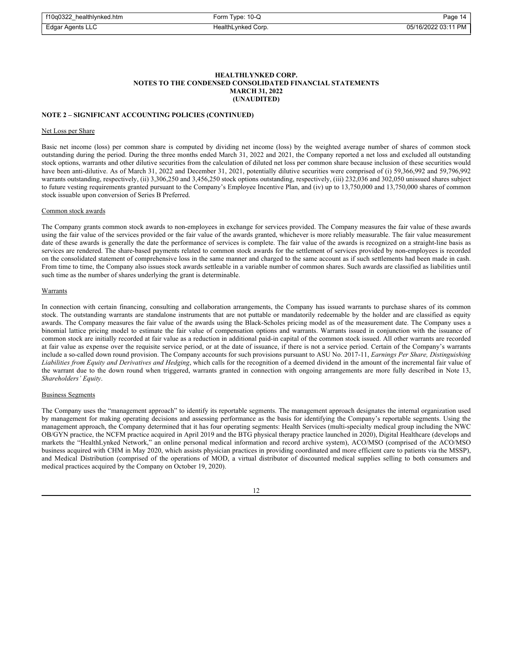| f10q0322_healthlynked.htm | Form Type: 10-Q    | Page 14             |
|---------------------------|--------------------|---------------------|
| Edgar Agents LLC          | HealthLynked Corp. | 05/16/2022 03:11 PM |

## **NOTE 2 – SIGNIFICANT ACCOUNTING POLICIES (CONTINUED)**

#### Net Loss per Share

Basic net income (loss) per common share is computed by dividing net income (loss) by the weighted average number of shares of common stock outstanding during the period. During the three months ended March 31, 2022 and 2021, the Company reported a net loss and excluded all outstanding stock options, warrants and other dilutive securities from the calculation of diluted net loss per common share because inclusion of these securities would have been anti-dilutive. As of March 31, 2022 and December 31, 2021, potentially dilutive securities were comprised of (i) 59,366,992 and 59,796,992 warrants outstanding, respectively, (ii) 3,306,250 and 3,456,250 stock options outstanding, respectively, (iii) 232,036 and 302,050 unissued shares subject to future vesting requirements granted pursuant to the Company's Employee Incentive Plan, and (iv) up to 13,750,000 and 13,750,000 shares of common stock issuable upon conversion of Series B Preferred.

#### Common stock awards

The Company grants common stock awards to non-employees in exchange for services provided. The Company measures the fair value of these awards using the fair value of the services provided or the fair value of the awards granted, whichever is more reliably measurable. The fair value measurement date of these awards is generally the date the performance of services is complete. The fair value of the awards is recognized on a straight-line basis as services are rendered. The share-based payments related to common stock awards for the settlement of services provided by non-employees is recorded on the consolidated statement of comprehensive loss in the same manner and charged to the same account as if such settlements had been made in cash. From time to time, the Company also issues stock awards settleable in a variable number of common shares. Such awards are classified as liabilities until such time as the number of shares underlying the grant is determinable.

#### **Warrants**

In connection with certain financing, consulting and collaboration arrangements, the Company has issued warrants to purchase shares of its common stock. The outstanding warrants are standalone instruments that are not puttable or mandatorily redeemable by the holder and are classified as equity awards. The Company measures the fair value of the awards using the Black-Scholes pricing model as of the measurement date. The Company uses a binomial lattice pricing model to estimate the fair value of compensation options and warrants. Warrants issued in conjunction with the issuance of common stock are initially recorded at fair value as a reduction in additional paid-in capital of the common stock issued. All other warrants are recorded at fair value as expense over the requisite service period, or at the date of issuance, if there is not a service period. Certain of the Company's warrants include a so-called down round provision. The Company accounts for such provisions pursuant to ASU No. 2017-11, *Earnings Per Share, Distinguishing Liabilities from Equity and Derivatives and Hedging*, which calls for the recognition of a deemed dividend in the amount of the incremental fair value of the warrant due to the down round when triggered, warrants granted in connection with ongoing arrangements are more fully described in Note 13, *Shareholders' Equity*.

## Business Segments

The Company uses the "management approach" to identify its reportable segments. The management approach designates the internal organization used by management for making operating decisions and assessing performance as the basis for identifying the Company's reportable segments. Using the management approach, the Company determined that it has four operating segments: Health Services (multi-specialty medical group including the NWC OB/GYN practice, the NCFM practice acquired in April 2019 and the BTG physical therapy practice launched in 2020), Digital Healthcare (develops and markets the "HealthLynked Network," an online personal medical information and record archive system), ACO/MSO (comprised of the ACO/MSO business acquired with CHM in May 2020, which assists physician practices in providing coordinated and more efficient care to patients via the MSSP), and Medical Distribution (comprised of the operations of MOD, a virtual distributor of discounted medical supplies selling to both consumers and medical practices acquired by the Company on October 19, 2020).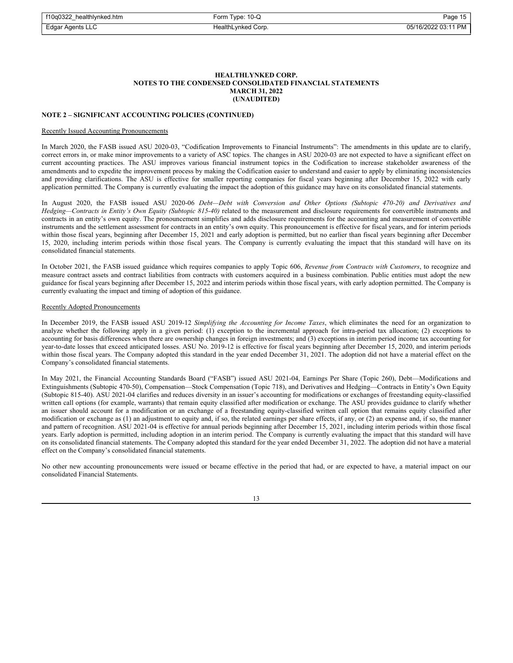| f10q0322 healthlynked.htm | Form Type: 10-Q    | Page 15             |
|---------------------------|--------------------|---------------------|
| Edgar Agents LLC          | HealthLynked Corp. | 05/16/2022 03:11 PM |

## **NOTE 2 – SIGNIFICANT ACCOUNTING POLICIES (CONTINUED)**

#### Recently Issued Accounting Pronouncements

In March 2020, the FASB issued ASU 2020-03, "Codification Improvements to Financial Instruments": The amendments in this update are to clarify, correct errors in, or make minor improvements to a variety of ASC topics. The changes in ASU 2020-03 are not expected to have a significant effect on current accounting practices. The ASU improves various financial instrument topics in the Codification to increase stakeholder awareness of the amendments and to expedite the improvement process by making the Codification easier to understand and easier to apply by eliminating inconsistencies and providing clarifications. The ASU is effective for smaller reporting companies for fiscal years beginning after December 15, 2022 with early application permitted. The Company is currently evaluating the impact the adoption of this guidance may have on its consolidated financial statements.

In August 2020, the FASB issued ASU 2020-06 *Debt—Debt with Conversion and Other Options (Subtopic 470-20) and Derivatives and Hedging—Contracts in Entity's Own Equity (Subtopic 815-40)* related to the measurement and disclosure requirements for convertible instruments and contracts in an entity's own equity. The pronouncement simplifies and adds disclosure requirements for the accounting and measurement of convertible instruments and the settlement assessment for contracts in an entity's own equity. This pronouncement is effective for fiscal years, and for interim periods within those fiscal years, beginning after December 15, 2021 and early adoption is permitted, but no earlier than fiscal years beginning after December 15, 2020, including interim periods within those fiscal years. The Company is currently evaluating the impact that this standard will have on its consolidated financial statements.

In October 2021, the FASB issued guidance which requires companies to apply Topic 606, *Revenue from Contracts with Customers*, to recognize and measure contract assets and contract liabilities from contracts with customers acquired in a business combination. Public entities must adopt the new guidance for fiscal years beginning after December 15, 2022 and interim periods within those fiscal years, with early adoption permitted. The Company is currently evaluating the impact and timing of adoption of this guidance.

#### Recently Adopted Pronouncements

In December 2019, the FASB issued ASU 2019-12 *Simplifying the Accounting for Income Taxes*, which eliminates the need for an organization to analyze whether the following apply in a given period: (1) exception to the incremental approach for intra-period tax allocation; (2) exceptions to accounting for basis differences when there are ownership changes in foreign investments; and (3) exceptions in interim period income tax accounting for year-to-date losses that exceed anticipated losses. ASU No. 2019-12 is effective for fiscal years beginning after December 15, 2020, and interim periods within those fiscal years. The Company adopted this standard in the year ended December 31, 2021. The adoption did not have a material effect on the Company's consolidated financial statements.

In May 2021, the Financial Accounting Standards Board ("FASB") issued ASU 2021-04, Earnings Per Share (Topic 260), Debt—Modifications and Extinguishments (Subtopic 470-50), Compensation—Stock Compensation (Topic 718), and Derivatives and Hedging—Contracts in Entity's Own Equity (Subtopic 815-40). ASU 2021-04 clarifies and reduces diversity in an issuer's accounting for modifications or exchanges of freestanding equity-classified written call options (for example, warrants) that remain equity classified after modification or exchange. The ASU provides guidance to clarify whether an issuer should account for a modification or an exchange of a freestanding equity-classified written call option that remains equity classified after modification or exchange as (1) an adjustment to equity and, if so, the related earnings per share effects, if any, or (2) an expense and, if so, the manner and pattern of recognition. ASU 2021-04 is effective for annual periods beginning after December 15, 2021, including interim periods within those fiscal years. Early adoption is permitted, including adoption in an interim period. The Company is currently evaluating the impact that this standard will have on its consolidated financial statements. The Company adopted this standard for the year ended December 31, 2022. The adoption did not have a material effect on the Company's consolidated financial statements.

No other new accounting pronouncements were issued or became effective in the period that had, or are expected to have, a material impact on our consolidated Financial Statements.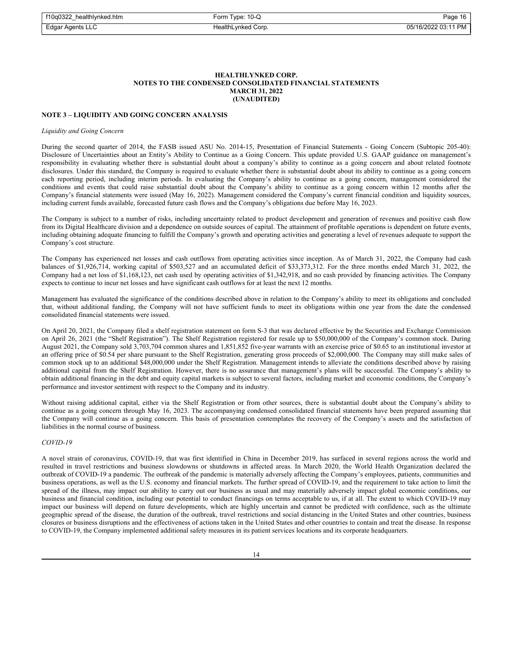| f10q0322 healthlynked.htm | Form Type: 10-Q    | Page 16             |
|---------------------------|--------------------|---------------------|
| Edgar Agents LLC          | HealthLynked Corp. | 05/16/2022 03:11 PM |

### **NOTE 3 – LIQUIDITY AND GOING CONCERN ANALYSIS**

#### *Liquidity and Going Concern*

During the second quarter of 2014, the FASB issued ASU No. 2014-15, Presentation of Financial Statements - Going Concern (Subtopic 205-40): Disclosure of Uncertainties about an Entity's Ability to Continue as a Going Concern. This update provided U.S. GAAP guidance on management's responsibility in evaluating whether there is substantial doubt about a company's ability to continue as a going concern and about related footnote disclosures. Under this standard, the Company is required to evaluate whether there is substantial doubt about its ability to continue as a going concern each reporting period, including interim periods. In evaluating the Company's ability to continue as a going concern, management considered the conditions and events that could raise substantial doubt about the Company's ability to continue as a going concern within 12 months after the Company's financial statements were issued (May 16, 2022). Management considered the Company's current financial condition and liquidity sources, including current funds available, forecasted future cash flows and the Company's obligations due before May 16, 2023.

The Company is subject to a number of risks, including uncertainty related to product development and generation of revenues and positive cash flow from its Digital Healthcare division and a dependence on outside sources of capital. The attainment of profitable operations is dependent on future events, including obtaining adequate financing to fulfill the Company's growth and operating activities and generating a level of revenues adequate to support the Company's cost structure.

The Company has experienced net losses and cash outflows from operating activities since inception. As of March 31, 2022, the Company had cash balances of \$1,926,714, working capital of \$503,527 and an accumulated deficit of \$33,373,312. For the three months ended March 31, 2022, the Company had a net loss of \$1,168,123, net cash used by operating activities of \$1,342,918, and no cash provided by financing activities. The Company expects to continue to incur net losses and have significant cash outflows for at least the next 12 months.

Management has evaluated the significance of the conditions described above in relation to the Company's ability to meet its obligations and concluded that, without additional funding, the Company will not have sufficient funds to meet its obligations within one year from the date the condensed consolidated financial statements were issued.

On April 20, 2021, the Company filed a shelf registration statement on form S-3 that was declared effective by the Securities and Exchange Commission on April 26, 2021 (the "Shelf Registration"). The Shelf Registration registered for resale up to \$50,000,000 of the Company's common stock. During August 2021, the Company sold 3,703,704 common shares and 1,851,852 five-year warrants with an exercise price of \$0.65 to an institutional investor at an offering price of \$0.54 per share pursuant to the Shelf Registration, generating gross proceeds of \$2,000,000. The Company may still make sales of common stock up to an additional \$48,000,000 under the Shelf Registration. Management intends to alleviate the conditions described above by raising additional capital from the Shelf Registration. However, there is no assurance that management's plans will be successful. The Company's ability to obtain additional financing in the debt and equity capital markets is subject to several factors, including market and economic conditions, the Company's performance and investor sentiment with respect to the Company and its industry.

Without raising additional capital, either via the Shelf Registration or from other sources, there is substantial doubt about the Company's ability to continue as a going concern through May 16, 2023. The accompanying condensed consolidated financial statements have been prepared assuming that the Company will continue as a going concern. This basis of presentation contemplates the recovery of the Company's assets and the satisfaction of liabilities in the normal course of business.

# *COVID-19*

A novel strain of coronavirus, COVID-19, that was first identified in China in December 2019, has surfaced in several regions across the world and resulted in travel restrictions and business slowdowns or shutdowns in affected areas. In March 2020, the World Health Organization declared the outbreak of COVID-19 a pandemic. The outbreak of the pandemic is materially adversely affecting the Company's employees, patients, communities and business operations, as well as the U.S. economy and financial markets. The further spread of COVID-19, and the requirement to take action to limit the spread of the illness, may impact our ability to carry out our business as usual and may materially adversely impact global economic conditions, our business and financial condition, including our potential to conduct financings on terms acceptable to us, if at all. The extent to which COVID-19 may impact our business will depend on future developments, which are highly uncertain and cannot be predicted with confidence, such as the ultimate geographic spread of the disease, the duration of the outbreak, travel restrictions and social distancing in the United States and other countries, business closures or business disruptions and the effectiveness of actions taken in the United States and other countries to contain and treat the disease. In response to COVID-19, the Company implemented additional safety measures in its patient services locations and its corporate headquarters.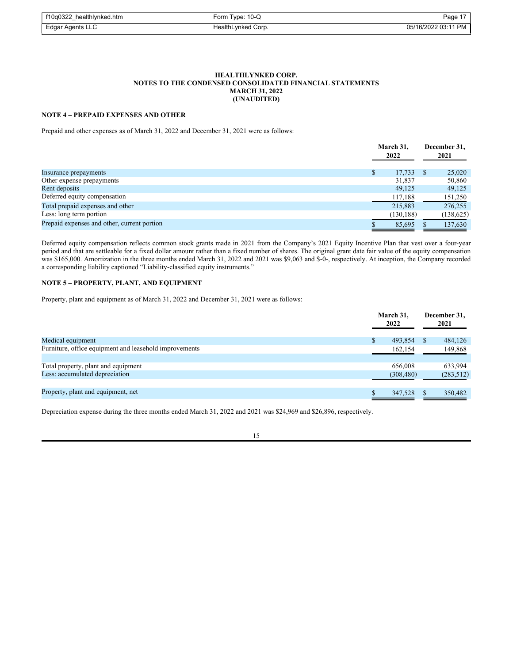| f10q0322_healthlynked.htm | Form Type: 10-Q    | Page 17             |
|---------------------------|--------------------|---------------------|
| Edgar Agents LLC          | HealthLynked Corp. | 05/16/2022 03:11 PM |

## **NOTE 4 – PREPAID EXPENSES AND OTHER**

Prepaid and other expenses as of March 31, 2022 and December 31, 2021 were as follows:

|                                             |   | March 31,<br>2022 |  | December 31,<br>2021 |  |
|---------------------------------------------|---|-------------------|--|----------------------|--|
| Insurance prepayments                       | S | 17,733            |  | 25,020               |  |
| Other expense prepayments                   |   | 31,837            |  | 50,860               |  |
| Rent deposits                               |   | 49.125            |  | 49,125               |  |
| Deferred equity compensation                |   | 117,188           |  | 151,250              |  |
| Total prepaid expenses and other            |   | 215,883           |  | 276,255              |  |
| Less: long term portion                     |   | (130, 188)        |  | (138, 625)           |  |
| Prepaid expenses and other, current portion |   | 85,695            |  | 137,630              |  |

Deferred equity compensation reflects common stock grants made in 2021 from the Company's 2021 Equity Incentive Plan that vest over a four-year period and that are settleable for a fixed dollar amount rather than a fixed number of shares. The original grant date fair value of the equity compensation was \$165,000. Amortization in the three months ended March 31, 2022 and 2021 was \$9,063 and \$-0-, respectively. At inception, the Company recorded a corresponding liability captioned "Liability-classified equity instruments."

# **NOTE 5 – PROPERTY, PLANT, AND EQUIPMENT**

Property, plant and equipment as of March 31, 2022 and December 31, 2021 were as follows:

|                                                        |  | March 31.<br>2022 | December 31,<br>2021 |            |
|--------------------------------------------------------|--|-------------------|----------------------|------------|
| Medical equipment                                      |  | 493,854           |                      | 484,126    |
| Furniture, office equipment and leasehold improvements |  | 162,154           |                      | 149,868    |
|                                                        |  |                   |                      |            |
| Total property, plant and equipment                    |  | 656,008           |                      | 633,994    |
| Less: accumulated depreciation                         |  | (308, 480)        |                      | (283, 512) |
|                                                        |  |                   |                      |            |
| Property, plant and equipment, net                     |  | 347,528           |                      | 350,482    |

Depreciation expense during the three months ended March 31, 2022 and 2021 was \$24,969 and \$26,896, respectively.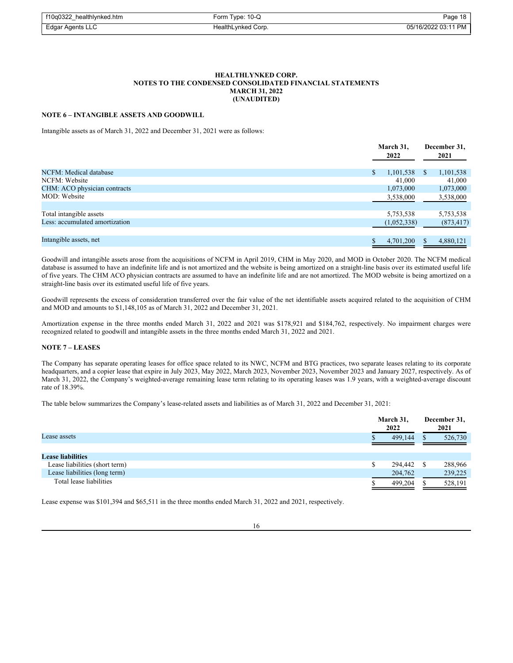| f10q0322_healthlynked.htm | Form Type: 10-Q    | Page 18             |
|---------------------------|--------------------|---------------------|
| Edgar Agents LLC          | HealthLynked Corp. | 05/16/2022 03:11 PM |

## **NOTE 6 – INTANGIBLE ASSETS AND GOODWILL**

Intangible assets as of March 31, 2022 and December 31, 2021 were as follows:

|                                | March 31,<br>2022 | December 31,<br>2021      |  |
|--------------------------------|-------------------|---------------------------|--|
| NCFM: Medical database         | \$<br>1,101,538   | 1,101,538<br><sup>S</sup> |  |
| NCFM: Website                  | 41,000            | 41,000                    |  |
| CHM: ACO physician contracts   | 1,073,000         | 1,073,000                 |  |
| MOD: Website                   | 3,538,000         | 3,538,000                 |  |
|                                |                   |                           |  |
| Total intangible assets        | 5,753,538         | 5,753,538                 |  |
| Less: accumulated amortization | (1,052,338)       | (873, 417)                |  |
|                                |                   |                           |  |
| Intangible assets, net         | 4,701,200         | 4,880,121                 |  |

Goodwill and intangible assets arose from the acquisitions of NCFM in April 2019, CHM in May 2020, and MOD in October 2020. The NCFM medical database is assumed to have an indefinite life and is not amortized and the website is being amortized on a straight-line basis over its estimated useful life of five years. The CHM ACO physician contracts are assumed to have an indefinite life and are not amortized. The MOD website is being amortized on a straight-line basis over its estimated useful life of five years.

Goodwill represents the excess of consideration transferred over the fair value of the net identifiable assets acquired related to the acquisition of CHM and MOD and amounts to \$1,148,105 as of March 31, 2022 and December 31, 2021.

Amortization expense in the three months ended March 31, 2022 and 2021 was \$178,921 and \$184,762, respectively. No impairment charges were recognized related to goodwill and intangible assets in the three months ended March 31, 2022 and 2021.

## **NOTE 7 – LEASES**

The Company has separate operating leases for office space related to its NWC, NCFM and BTG practices, two separate leases relating to its corporate headquarters, and a copier lease that expire in July 2023, May 2022, March 2023, November 2023, November 2023 and January 2027, respectively. As of March 31, 2022, the Company's weighted-average remaining lease term relating to its operating leases was 1.9 years, with a weighted-average discount rate of 18.39%.

The table below summarizes the Company's lease-related assets and liabilities as of March 31, 2022 and December 31, 2021:

|                                |    | March 31,<br>2022 |  | December 31,<br>2021 |  |
|--------------------------------|----|-------------------|--|----------------------|--|
| Lease assets                   |    | 499,144           |  | 526,730              |  |
|                                |    |                   |  |                      |  |
| <b>Lease liabilities</b>       |    |                   |  |                      |  |
| Lease liabilities (short term) | S. | 294,442 \$        |  | 288,966              |  |
| Lease liabilities (long term)  |    | 204,762           |  | 239,225              |  |
| Total lease liabilities        |    | 499.204           |  | 528,191              |  |

Lease expense was \$101,394 and \$65,511 in the three months ended March 31, 2022 and 2021, respectively.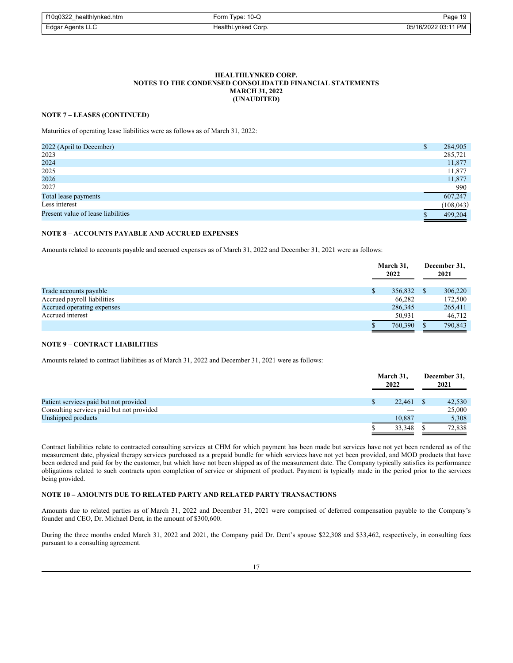| f10q0322_healthlynked.htm | Form Type: 10-Q    | Page 19             |
|---------------------------|--------------------|---------------------|
| Edgar Agents LLC          | HealthLynked Corp. | 05/16/2022 03:11 PM |

# **NOTE 7 – LEASES (CONTINUED)**

Maturities of operating lease liabilities were as follows as of March 31, 2022:

| 2022 (April to December)           | 284,905    |
|------------------------------------|------------|
| 2023                               | 285,721    |
| 2024                               | 11,877     |
| 2025                               | 11,877     |
| 2026                               | 11,877     |
| 2027                               | 990        |
| Total lease payments               | 607,247    |
| Less interest                      | (108, 043) |
| Present value of lease liabilities | 499,204    |

# **NOTE 8 – ACCOUNTS PAYABLE AND ACCRUED EXPENSES**

Amounts related to accounts payable and accrued expenses as of March 31, 2022 and December 31, 2021 were as follows:

|                             | March 31,<br>2022 | December 31,<br>2021 |
|-----------------------------|-------------------|----------------------|
| Trade accounts payable      | 356,832 \$        | 306,220              |
| Accrued payroll liabilities | 66,282            | 172,500              |
| Accrued operating expenses  | 286,345           | 265,411              |
| Accrued interest            | 50,931            | 46,712               |
|                             | 760,390           | 790,843              |

# **NOTE 9 – CONTRACT LIABILITIES**

Amounts related to contract liabilities as of March 31, 2022 and December 31, 2021 were as follows:

|                                           | March 31,<br>2022 | December 31,<br>2021 |        |
|-------------------------------------------|-------------------|----------------------|--------|
| Patient services paid but not provided    | 22,461            |                      | 42,530 |
| Consulting services paid but not provided | ___               |                      | 25,000 |
| Unshipped products                        | 10.887            |                      | 5,308  |
|                                           | 33,348            |                      | 72,838 |

Contract liabilities relate to contracted consulting services at CHM for which payment has been made but services have not yet been rendered as of the measurement date, physical therapy services purchased as a prepaid bundle for which services have not yet been provided, and MOD products that have been ordered and paid for by the customer, but which have not been shipped as of the measurement date. The Company typically satisfies its performance obligations related to such contracts upon completion of service or shipment of product. Payment is typically made in the period prior to the services being provided.

## **NOTE 10 – AMOUNTS DUE TO RELATED PARTY AND RELATED PARTY TRANSACTIONS**

Amounts due to related parties as of March 31, 2022 and December 31, 2021 were comprised of deferred compensation payable to the Company's founder and CEO, Dr. Michael Dent, in the amount of \$300,600.

During the three months ended March 31, 2022 and 2021, the Company paid Dr. Dent's spouse \$22,308 and \$33,462, respectively, in consulting fees pursuant to a consulting agreement.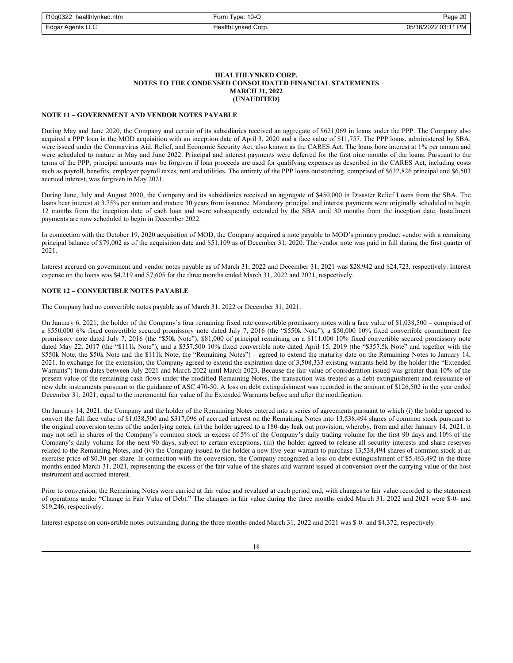| f10q0322 healthlynked.htm | Form Type: 10-Q    | Page 20             |
|---------------------------|--------------------|---------------------|
| Edgar Agents LLC          | HealthLynked Corp. | 05/16/2022 03:11 PM |

#### **NOTE 11 – GOVERNMENT AND VENDOR NOTES PAYABLE**

During May and June 2020, the Company and certain of its subsidiaries received an aggregate of \$621,069 in loans under the PPP. The Company also acquired a PPP loan in the MOD acquisition with an inception date of April 3, 2020 and a face value of \$11,757. The PPP loans, administered by SBA, were issued under the Coronavirus Aid, Relief, and Economic Security Act, also known as the CARES Act. The loans bore interest at 1% per annum and were scheduled to mature in May and June 2022. Principal and interest payments were deferred for the first nine months of the loans. Pursuant to the terms of the PPP, principal amounts may be forgiven if loan proceeds are used for qualifying expenses as described in the CARES Act, including costs such as payroll, benefits, employer payroll taxes, rent and utilities. The entirety of the PPP loans outstanding, comprised of \$632,826 principal and \$6,503 accrued interest, was forgiven in May 2021.

During June, July and August 2020, the Company and its subsidiaries received an aggregate of \$450,000 in Disaster Relief Loans from the SBA. The loans bear interest at 3.75% per annum and mature 30 years from issuance. Mandatory principal and interest payments were originally scheduled to begin 12 months from the inception date of each loan and were subsequently extended by the SBA until 30 months from the inception date. Installment payments are now scheduled to begin in December 2022.

In connection with the October 19, 2020 acquisition of MOD, the Company acquired a note payable to MOD's primary product vendor with a remaining principal balance of \$79,002 as of the acquisition date and \$51,109 as of December 31, 2020. The vendor note was paid in full during the first quarter of 2021.

Interest accrued on government and vendor notes payable as of March 31, 2022 and December 31, 2021 was \$28,942 and \$24,723, respectively. Interest expense on the loans was \$4,219 and \$7,605 for the three months ended March 31, 2022 and 2021, respectively.

## **NOTE 12 – CONVERTIBLE NOTES PAYABLE**

The Company had no convertible notes payable as of March 31, 2022 or December 31, 2021.

On January 6, 2021, the holder of the Company's four remaining fixed rate convertible promissory notes with a face value of \$1,038,500 – comprised of a \$550,000 6% fixed convertible secured promissory note dated July 7, 2016 (the "\$550k Note"), a \$50,000 10% fixed convertible commitment fee promissory note dated July 7, 2016 (the "\$50k Note"), \$81,000 of principal remaining on a \$111,000 10% fixed convertible secured promissory note dated May 22, 2017 (the "\$111k Note"), and a \$357,500 10% fixed convertible note dated April 15, 2019 (the "\$357.5k Note" and together with the \$550k Note, the \$50k Note and the \$111k Note, the "Remaining Notes") – agreed to extend the maturity date on the Remaining Notes to January 14, 2021. In exchange for the extension, the Company agreed to extend the expiration date of 3,508,333 existing warrants held by the holder (the "Extended Warrants") from dates between July 2021 and March 2022 until March 2023. Because the fair value of consideration issued was greater than 10% of the present value of the remaining cash flows under the modified Remaining Notes, the transaction was treated as a debt extinguishment and reissuance of new debt instruments pursuant to the guidance of ASC 470-50. A loss on debt extinguishment was recorded in the amount of \$126,502 in the year ended December 31, 2021, equal to the incremental fair value of the Extended Warrants before and after the modification.

On January 14, 2021, the Company and the holder of the Remaining Notes entered into a series of agreements pursuant to which (i) the holder agreed to convert the full face value of \$1,038,500 and \$317,096 of accrued interest on the Remaining Notes into 13,538,494 shares of common stock pursuant to the original conversion terms of the underlying notes, (ii) the holder agreed to a 180-day leak out provision, whereby, from and after January 14, 2021, it may not sell in shares of the Company's common stock in excess of 5% of the Company's daily trading volume for the first 90 days and 10% of the Company's daily volume for the next 90 days, subject to certain exceptions, (iii) the holder agreed to release all security interests and share reserves related to the Remaining Notes, and (iv) the Company issued to the holder a new five-year warrant to purchase 13,538,494 shares of common stock at an exercise price of \$0.30 per share. In connection with the conversion, the Company recognized a loss on debt extinguishment of \$5,463,492 in the three months ended March 31, 2021, representing the excess of the fair value of the shares and warrant issued at conversion over the carrying value of the host instrument and accrued interest.

Prior to conversion, the Remaining Notes were carried at fair value and revalued at each period end, with changes to fair value recorded to the statement of operations under "Change in Fair Value of Debt." The changes in fair value during the three months ended March 31, 2022 and 2021 were \$-0- and \$19,246, respectively.

Interest expense on convertible notes outstanding during the three months ended March 31, 2022 and 2021 was \$-0- and \$4,372, respectively.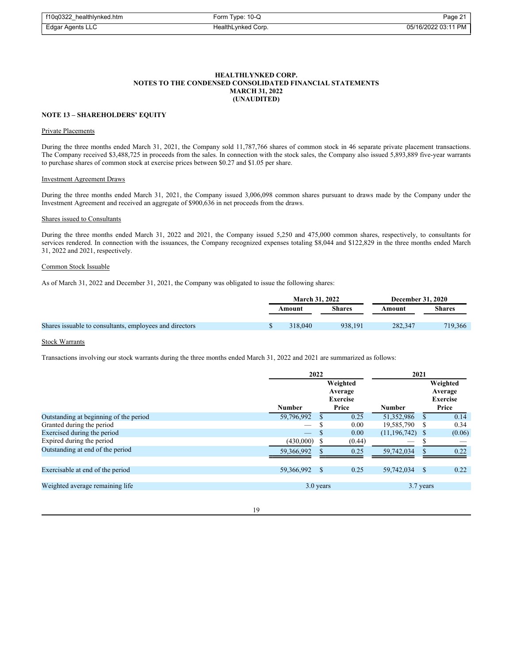| f10q0322 healthlynked.htm | Form Type: 10-Q    | Page 21             |
|---------------------------|--------------------|---------------------|
| Edgar Agents LLC          | HealthLynked Corp. | 05/16/2022 03:11 PM |

## **NOTE 13 – SHAREHOLDERS' EQUITY**

#### Private Placements

During the three months ended March 31, 2021, the Company sold 11,787,766 shares of common stock in 46 separate private placement transactions. The Company received \$3,488,725 in proceeds from the sales. In connection with the stock sales, the Company also issued 5,893,889 five-year warrants to purchase shares of common stock at exercise prices between \$0.27 and \$1.05 per share.

## Investment Agreement Draws

During the three months ended March 31, 2021, the Company issued 3,006,098 common shares pursuant to draws made by the Company under the Investment Agreement and received an aggregate of \$900,636 in net proceeds from the draws.

## Shares issued to Consultants

During the three months ended March 31, 2022 and 2021, the Company issued 5,250 and 475,000 common shares, respectively, to consultants for services rendered. In connection with the issuances, the Company recognized expenses totaling \$8,044 and \$122,829 in the three months ended March 31, 2022 and 2021, respectively.

### Common Stock Issuable

As of March 31, 2022 and December 31, 2021, the Company was obligated to issue the following shares:

|                                                          | <b>March 31, 2022</b> |               | <b>December 31, 2020</b> |         |
|----------------------------------------------------------|-----------------------|---------------|--------------------------|---------|
|                                                          | Amount                | <b>Shares</b> | Amount                   | Shares  |
| Shares is suable to consultants, employees and directors | 318,040               | 938.191       | 282,347                  | 719,366 |

## Stock Warrants

Transactions involving our stock warrants during the three months ended March 31, 2022 and 2021 are summarized as follows:

|                                        |                   | 2022                                   |        |                     | 2021                                   |        |  |
|----------------------------------------|-------------------|----------------------------------------|--------|---------------------|----------------------------------------|--------|--|
|                                        |                   | Weighted<br>Average<br><b>Exercise</b> |        |                     | Weighted<br>Average<br><b>Exercise</b> |        |  |
|                                        | <b>Number</b>     |                                        | Price  | <b>Number</b>       |                                        | Price  |  |
| Outstanding at beginning of the period | 59,796,992        |                                        | 0.25   | 51,352,986          |                                        | 0.14   |  |
| Granted during the period              | —                 |                                        | 0.00   | 19,585,790          |                                        | 0.34   |  |
| Exercised during the period            | $\qquad \qquad -$ | <b>S</b>                               | 0.00   | $(11, 196, 742)$ \$ |                                        | (0.06) |  |
| Expired during the period              | (430,000)         |                                        | (0.44) |                     |                                        |        |  |
| Outstanding at end of the period       | 59,366,992        |                                        | 0.25   | 59,742,034          |                                        | 0.22   |  |
| Exercisable at end of the period       | 59,366,992 \$     |                                        | 0.25   | 59,742,034          | - S                                    | 0.22   |  |
|                                        |                   |                                        |        |                     |                                        |        |  |
| Weighted average remaining life        |                   | 3.0 years                              |        | 3.7 years           |                                        |        |  |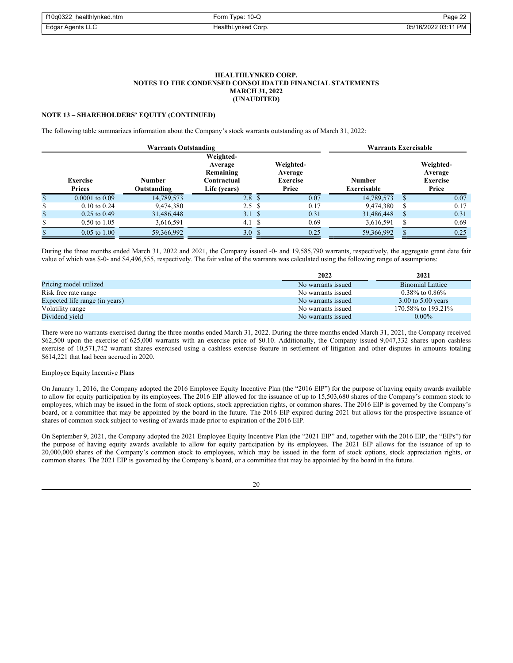| f10q0322_healthlynked.htm | Form Type: 10-Q    | Page 22             |
|---------------------------|--------------------|---------------------|
| Edgar Agents LLC          | HealthLynked Corp. | 05/16/2022 03:11 PM |

# **NOTE 13 – SHAREHOLDERS' EQUITY (CONTINUED)**

The following table summarizes information about the Company's stock warrants outstanding as of March 31, 2022:

| <b>Warrants Outstanding</b> |                                  |                       |                                                                  |  | <b>Warrants Exercisable</b>                      |                       |    |                                                  |
|-----------------------------|----------------------------------|-----------------------|------------------------------------------------------------------|--|--------------------------------------------------|-----------------------|----|--------------------------------------------------|
|                             | <b>Exercise</b><br><b>Prices</b> | Number<br>Outstanding | Weighted-<br>Average<br>Remaining<br>Contractual<br>Life (years) |  | Weighted-<br>Average<br><b>Exercise</b><br>Price | Number<br>Exercisable |    | Weighted-<br>Average<br><b>Exercise</b><br>Price |
| \$                          | $0.0001$ to $0.09$               | 14,789,573            | 2.8 <sup>°</sup>                                                 |  | 0.07                                             | 14,789,573            | \$ | 0.07                                             |
| \$                          | $0.10 \text{ to } 0.24$          | 9,474,380             | 2.5 <sup>°</sup>                                                 |  | 0.17                                             | 9,474,380             | S  | 0.17                                             |
| \$                          | $0.25$ to $0.49$                 | 31,486,448            | 3.1 <sup>5</sup>                                                 |  | 0.31                                             | 31,486,448            | S  | 0.31                                             |
| \$                          | $0.50 \text{ to } 1.05$          | 3,616,591             | 4.1                                                              |  | 0.69                                             | 3,616,591             |    | 0.69                                             |
| \$                          | $0.05$ to $1.00$                 | 59,366,992            | 3.0                                                              |  | 0.25                                             | 59,366,992            |    | 0.25                                             |

During the three months ended March 31, 2022 and 2021, the Company issued -0- and 19,585,790 warrants, respectively, the aggregate grant date fair value of which was \$-0- and \$4,496,555, respectively. The fair value of the warrants was calculated using the following range of assumptions:

|                                | 2022               | 2021                    |
|--------------------------------|--------------------|-------------------------|
| Pricing model utilized         | No warrants issued | <b>Binomial Lattice</b> |
| Risk free rate range           | No warrants issued | $0.38\%$ to $0.86\%$    |
| Expected life range (in years) | No warrants issued | $3.00$ to $5.00$ years  |
| Volatility range               | No warrants issued | 170.58% to 193.21%      |
| Dividend yield                 | No warrants issued | $0.00\%$                |

There were no warrants exercised during the three months ended March 31, 2022. During the three months ended March 31, 2021, the Company received \$62,500 upon the exercise of 625,000 warrants with an exercise price of \$0.10. Additionally, the Company issued 9,047,332 shares upon cashless exercise of 10,571,742 warrant shares exercised using a cashless exercise feature in settlement of litigation and other disputes in amounts totaling \$614,221 that had been accrued in 2020.

#### Employee Equity Incentive Plans

On January 1, 2016, the Company adopted the 2016 Employee Equity Incentive Plan (the "2016 EIP") for the purpose of having equity awards available to allow for equity participation by its employees. The 2016 EIP allowed for the issuance of up to 15,503,680 shares of the Company's common stock to employees, which may be issued in the form of stock options, stock appreciation rights, or common shares. The 2016 EIP is governed by the Company's board, or a committee that may be appointed by the board in the future. The 2016 EIP expired during 2021 but allows for the prospective issuance of shares of common stock subject to vesting of awards made prior to expiration of the 2016 EIP.

On September 9, 2021, the Company adopted the 2021 Employee Equity Incentive Plan (the "2021 EIP" and, together with the 2016 EIP, the "EIPs") for the purpose of having equity awards available to allow for equity participation by its employees. The 2021 EIP allows for the issuance of up to 20,000,000 shares of the Company's common stock to employees, which may be issued in the form of stock options, stock appreciation rights, or common shares. The 2021 EIP is governed by the Company's board, or a committee that may be appointed by the board in the future.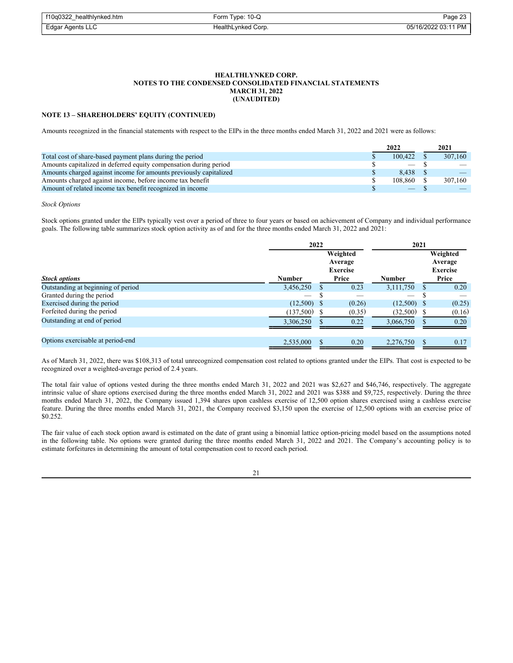| f10q0322_healthlynked.htm | Form Type: 10-Q    | Page 23             |
|---------------------------|--------------------|---------------------|
| Edgar Agents LLC          | HealthLynked Corp. | 05/16/2022 03:11 PM |

# **NOTE 13 – SHAREHOLDERS' EQUITY (CONTINUED)**

Amounts recognized in the financial statements with respect to the EIPs in the three months ended March 31, 2022 and 2021 were as follows:

|                                                                   | 2022                            | 2021                     |
|-------------------------------------------------------------------|---------------------------------|--------------------------|
| Total cost of share-based payment plans during the period         | 100.422                         | 307,160                  |
| Amounts capitalized in deferred equity compensation during period | $\hspace{0.1mm}-\hspace{0.1mm}$ | $\overline{\phantom{a}}$ |
| Amounts charged against income for amounts previously capitalized | 8.438 \$                        |                          |
| Amounts charged against income, before income tax benefit         | 108.860 \$                      | 307,160                  |
| Amount of related income tax benefit recognized in income         | $\overline{\phantom{0}}$        |                          |

*Stock Options* 

Stock options granted under the EIPs typically vest over a period of three to four years or based on achievement of Company and individual performance goals. The following table summarizes stock option activity as of and for the three months ended March 31, 2022 and 2021:

|                                    | 2022                                   |  |        | 2021                                   |  |        |
|------------------------------------|----------------------------------------|--|--------|----------------------------------------|--|--------|
|                                    | Weighted<br>Average<br><b>Exercise</b> |  |        | Weighted<br>Average<br><b>Exercise</b> |  |        |
| <b>Stock options</b>               | <b>Number</b>                          |  | Price  | <b>Number</b>                          |  | Price  |
| Outstanding at beginning of period | 3,456,250                              |  | 0.23   | 3,111,750                              |  | 0.20   |
| Granted during the period          | __                                     |  |        | __                                     |  |        |
| Exercised during the period        | $(12,500)$ \$                          |  | (0.26) | $(12,500)$ \$                          |  | (0.25) |
| Forfeited during the period        | $(137,500)$ \$                         |  | (0.35) | $(32,500)$ \$                          |  | (0.16) |
| Outstanding at end of period       | 3,306,250                              |  | 0.22   | 3,066,750                              |  | 0.20   |
| Options exercisable at period-end  | 2,535,000                              |  | 0.20   | 2,276,750                              |  | 0.17   |

As of March 31, 2022, there was \$108,313 of total unrecognized compensation cost related to options granted under the EIPs. That cost is expected to be recognized over a weighted-average period of 2.4 years.

The total fair value of options vested during the three months ended March 31, 2022 and 2021 was \$2,627 and \$46,746, respectively. The aggregate intrinsic value of share options exercised during the three months ended March 31, 2022 and 2021 was \$388 and \$9,725, respectively. During the three months ended March 31, 2022, the Company issued 1,394 shares upon cashless exercise of 12,500 option shares exercised using a cashless exercise feature. During the three months ended March 31, 2021, the Company received \$3,150 upon the exercise of 12,500 options with an exercise price of \$0.252.

The fair value of each stock option award is estimated on the date of grant using a binomial lattice option-pricing model based on the assumptions noted in the following table. No options were granted during the three months ended March 31, 2022 and 2021. The Company's accounting policy is to estimate forfeitures in determining the amount of total compensation cost to record each period.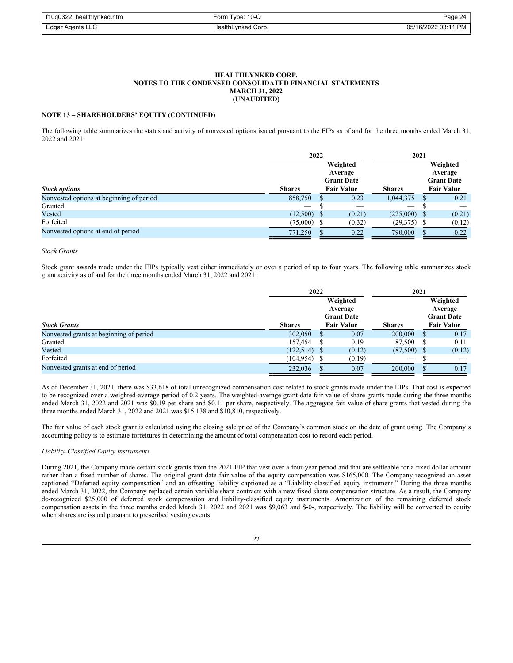| f10q0322 healthlynked.htm | Form Type: 10-Q    | Page 24             |
|---------------------------|--------------------|---------------------|
| Edgar Agents LLC          | HealthLynked Corp. | 05/16/2022 03:11 PM |

## **NOTE 13 – SHAREHOLDERS' EQUITY (CONTINUED)**

The following table summarizes the status and activity of nonvested options issued pursuant to the EIPs as of and for the three months ended March 31, 2022 and 2021:

|                                          | 2022                                                                           |  | 2021   |                |  |                                                               |  |
|------------------------------------------|--------------------------------------------------------------------------------|--|--------|----------------|--|---------------------------------------------------------------|--|
| <b>Stock options</b>                     | Weighted<br>Average<br><b>Grant Date</b><br><b>Fair Value</b><br><b>Shares</b> |  |        |                |  | Weighted<br>Average<br><b>Grant Date</b><br><b>Fair Value</b> |  |
| Nonvested options at beginning of period | 858,750                                                                        |  | 0.23   | 1,044,375      |  | 0.21                                                          |  |
| Granted                                  |                                                                                |  |        | _              |  |                                                               |  |
| Vested                                   | $(12,500)$ \$                                                                  |  | (0.21) | $(225,000)$ \$ |  | (0.21)                                                        |  |
| Forfeited                                | $(75,000)$ \$                                                                  |  | (0.32) | (29,375)       |  | (0.12)                                                        |  |
| Nonvested options at end of period       | 771,250                                                                        |  | 0.22   | 790,000        |  | 0.22                                                          |  |

#### *Stock Grants*

Stock grant awards made under the EIPs typically vest either immediately or over a period of up to four years. The following table summarizes stock grant activity as of and for the three months ended March 31, 2022 and 2021:

|                                                                                                       | 2022            |    |        | 2021                     |  |                                                               |  |  |
|-------------------------------------------------------------------------------------------------------|-----------------|----|--------|--------------------------|--|---------------------------------------------------------------|--|--|
| Weighted<br>Average<br><b>Grant Date</b><br><b>Fair Value</b><br><b>Stock Grants</b><br><b>Shares</b> |                 |    |        | <b>Shares</b>            |  | Weighted<br>Average<br><b>Grant Date</b><br><b>Fair Value</b> |  |  |
|                                                                                                       |                 |    |        |                          |  |                                                               |  |  |
| Nonvested grants at beginning of period                                                               | 302,050         |    | 0.07   | 200,000                  |  | 0.17                                                          |  |  |
| Granted                                                                                               | 157,454         | -S | 0.19   | 87,500                   |  | 0.11                                                          |  |  |
| Vested                                                                                                | $(122, 514)$ \$ |    | (0.12) | $(87,500)$ \$            |  | (0.12)                                                        |  |  |
| Forfeited                                                                                             | $(104, 954)$ \$ |    | (0.19) | $\overline{\phantom{a}}$ |  |                                                               |  |  |
| Nonvested grants at end of period                                                                     | 232,036         |    | 0.07   | 200,000                  |  | 0.17                                                          |  |  |

As of December 31, 2021, there was \$33,618 of total unrecognized compensation cost related to stock grants made under the EIPs. That cost is expected to be recognized over a weighted-average period of 0.2 years. The weighted-average grant-date fair value of share grants made during the three months ended March 31, 2022 and 2021 was \$0.19 per share and \$0.11 per share, respectively. The aggregate fair value of share grants that vested during the three months ended March 31, 2022 and 2021 was \$15,138 and \$10,810, respectively.

The fair value of each stock grant is calculated using the closing sale price of the Company's common stock on the date of grant using. The Company's accounting policy is to estimate forfeitures in determining the amount of total compensation cost to record each period.

#### *Liability-Classified Equity Instruments*

During 2021, the Company made certain stock grants from the 2021 EIP that vest over a four-year period and that are settleable for a fixed dollar amount rather than a fixed number of shares. The original grant date fair value of the equity compensation was \$165,000. The Company recognized an asset captioned "Deferred equity compensation" and an offsetting liability captioned as a "Liability-classified equity instrument." During the three months ended March 31, 2022, the Company replaced certain variable share contracts with a new fixed share compensation structure. As a result, the Company de-recognized \$25,000 of deferred stock compensation and liability-classified equity instruments. Amortization of the remaining deferred stock compensation assets in the three months ended March 31, 2022 and 2021 was \$9,063 and \$-0-, respectively. The liability will be converted to equity when shares are issued pursuant to prescribed vesting events.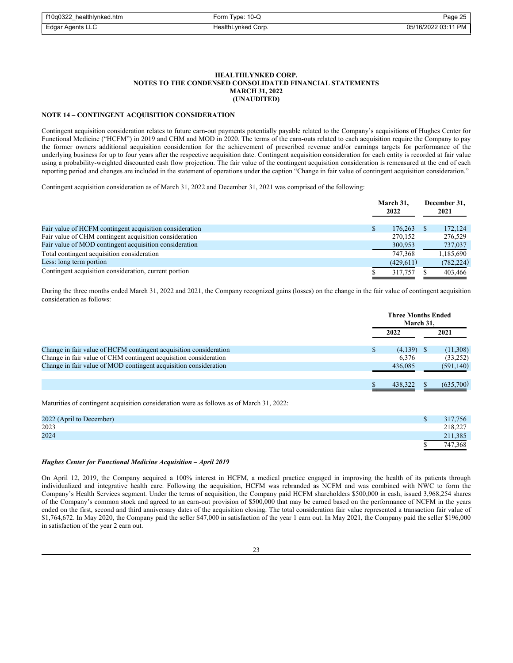| f10q0322_healthlynked.htm | Form Type: 10-Q    | Page 25             |
|---------------------------|--------------------|---------------------|
| Edgar Agents LLC          | HealthLynked Corp. | 05/16/2022 03:11 PM |

## **NOTE 14 – CONTINGENT ACQUISITION CONSIDERATION**

Contingent acquisition consideration relates to future earn-out payments potentially payable related to the Company's acquisitions of Hughes Center for Functional Medicine ("HCFM") in 2019 and CHM and MOD in 2020. The terms of the earn-outs related to each acquisition require the Company to pay the former owners additional acquisition consideration for the achievement of prescribed revenue and/or earnings targets for performance of the underlying business for up to four years after the respective acquisition date. Contingent acquisition consideration for each entity is recorded at fair value using a probability-weighted discounted cash flow projection. The fair value of the contingent acquisition consideration is remeasured at the end of each reporting period and changes are included in the statement of operations under the caption "Change in fair value of contingent acquisition consideration."

Contingent acquisition consideration as of March 31, 2022 and December 31, 2021 was comprised of the following:

|                                                         | March 31.<br>2022 | December 31,<br>2021 |            |
|---------------------------------------------------------|-------------------|----------------------|------------|
| Fair value of HCFM contingent acquisition consideration | 176,263           |                      | 172,124    |
| Fair value of CHM contingent acquisition consideration  | 270,152           |                      | 276,529    |
| Fair value of MOD contingent acquisition consideration  | 300,953           |                      | 737,037    |
| Total contingent acquisition consideration              | 747,368           |                      | 1,185,690  |
| Less: long term portion                                 | (429,611)         |                      | (782, 224) |
| Contingent acquisition consideration, current portion   | 317,757           |                      | 403,466    |

During the three months ended March 31, 2022 and 2021, the Company recognized gains (losses) on the change in the fair value of contingent acquisition consideration as follows:

|                                                                   |    | <b>Three Months Ended</b><br>March 31, |      |            |
|-------------------------------------------------------------------|----|----------------------------------------|------|------------|
|                                                                   |    | 2022                                   | 2021 |            |
| Change in fair value of HCFM contingent acquisition consideration | S. | $(4,139)$ \$                           |      | (11,308)   |
| Change in fair value of CHM contingent acquisition consideration  |    | 6,376                                  |      | (33,252)   |
| Change in fair value of MOD contingent acquisition consideration  |    | 436,085                                |      | (591, 140) |
|                                                                   |    |                                        |      |            |
|                                                                   |    | 438,322                                |      | (635,700)  |

Maturities of contingent acquisition consideration were as follows as of March 31, 2022:

| 2022 (April to December) | 317,756 |
|--------------------------|---------|
| 2023                     | 218,227 |
| 2024                     | 211,385 |
|                          | 747,368 |

#### *Hughes Center for Functional Medicine Acquisition – April 2019*

On April 12, 2019, the Company acquired a 100% interest in HCFM, a medical practice engaged in improving the health of its patients through individualized and integrative health care. Following the acquisition, HCFM was rebranded as NCFM and was combined with NWC to form the Company's Health Services segment. Under the terms of acquisition, the Company paid HCFM shareholders \$500,000 in cash, issued 3,968,254 shares of the Company's common stock and agreed to an earn-out provision of \$500,000 that may be earned based on the performance of NCFM in the years ended on the first, second and third anniversary dates of the acquisition closing. The total consideration fair value represented a transaction fair value of \$1,764,672. In May 2020, the Company paid the seller \$47,000 in satisfaction of the year 1 earn out. In May 2021, the Company paid the seller \$196,000 in satisfaction of the year 2 earn out.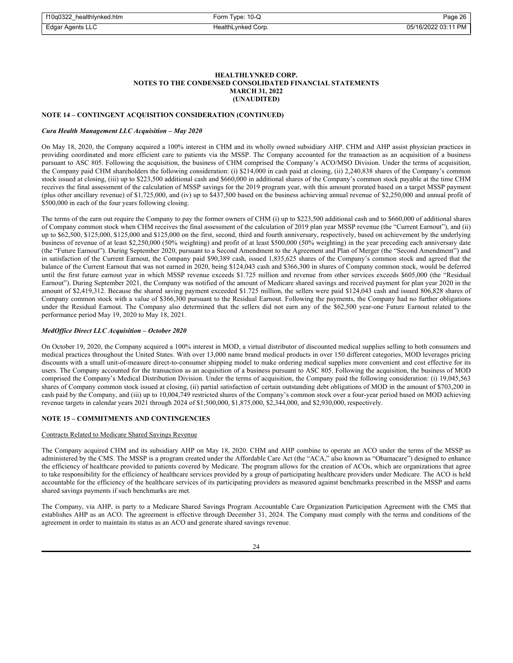| f10q0322 healthlynked.htm | Form Type: 10-Q    | Page 26             |
|---------------------------|--------------------|---------------------|
| Edgar Agents LLC          | HealthLynked Corp. | 05/16/2022 03:11 PM |

# **NOTE 14 – CONTINGENT ACQUISITION CONSIDERATION (CONTINUED)**

#### *Cura Health Management LLC Acquisition – May 2020*

On May 18, 2020, the Company acquired a 100% interest in CHM and its wholly owned subsidiary AHP. CHM and AHP assist physician practices in providing coordinated and more efficient care to patients via the MSSP. The Company accounted for the transaction as an acquisition of a business pursuant to ASC 805. Following the acquisition, the business of CHM comprised the Company's ACO/MSO Division. Under the terms of acquisition, the Company paid CHM shareholders the following consideration: (i) \$214,000 in cash paid at closing, (ii) 2,240,838 shares of the Company's common stock issued at closing, (iii) up to \$223,500 additional cash and \$660,000 in additional shares of the Company's common stock payable at the time CHM receives the final assessment of the calculation of MSSP savings for the 2019 program year, with this amount prorated based on a target MSSP payment (plus other ancillary revenue) of \$1,725,000, and (iv) up to \$437,500 based on the business achieving annual revenue of \$2,250,000 and annual profit of \$500,000 in each of the four years following closing.

The terms of the earn out require the Company to pay the former owners of CHM (i) up to \$223,500 additional cash and to \$660,000 of additional shares of Company common stock when CHM receives the final assessment of the calculation of 2019 plan year MSSP revenue (the "Current Earnout"), and (ii) up to \$62,500, \$125,000, \$125,000 and \$125,000 on the first, second, third and fourth anniversary, respectively, based on achievement by the underlying business of revenue of at least \$2,250,000 (50% weighting) and profit of at least \$500,000 (50% weighting) in the year preceding each anniversary date (the "Future Earnout"). During September 2020, pursuant to a Second Amendment to the Agreement and Plan of Merger (the "Second Amendment") and in satisfaction of the Current Earnout, the Company paid \$90,389 cash, issued 1,835,625 shares of the Company's common stock and agreed that the balance of the Current Earnout that was not earned in 2020, being \$124,043 cash and \$366,300 in shares of Company common stock, would be deferred until the first future earnout year in which MSSP revenue exceeds \$1.725 million and revenue from other services exceeds \$605,000 (the "Residual Earnout"). During September 2021, the Company was notified of the amount of Medicare shared savings and received payment for plan year 2020 in the amount of \$2,419,312. Because the shared saving payment exceeded \$1.725 million, the sellers were paid \$124,043 cash and issued 806,828 shares of Company common stock with a value of \$366,300 pursuant to the Residual Earnout. Following the payments, the Company had no further obligations under the Residual Earnout. The Company also determined that the sellers did not earn any of the \$62,500 year-one Future Earnout related to the performance period May 19, 2020 to May 18, 2021.

#### *MedOffice Direct LLC Acquisition – October 2020*

On October 19, 2020, the Company acquired a 100% interest in MOD, a virtual distributor of discounted medical supplies selling to both consumers and medical practices throughout the United States. With over 13,000 name brand medical products in over 150 different categories, MOD leverages pricing discounts with a small unit-of-measure direct-to-consumer shipping model to make ordering medical supplies more convenient and cost effective for its users. The Company accounted for the transaction as an acquisition of a business pursuant to ASC 805. Following the acquisition, the business of MOD comprised the Company's Medical Distribution Division. Under the terms of acquisition, the Company paid the following consideration: (i) 19,045,563 shares of Company common stock issued at closing, (ii) partial satisfaction of certain outstanding debt obligations of MOD in the amount of \$703,200 in cash paid by the Company, and (iii) up to 10,004,749 restricted shares of the Company's common stock over a four-year period based on MOD achieving revenue targets in calendar years 2021 through 2024 of \$1,500,000, \$1,875,000, \$2,344,000, and \$2,930,000, respectively.

# **NOTE 15 – COMMITMENTS AND CONTINGENCIES**

#### Contracts Related to Medicare Shared Savings Revenue

The Company acquired CHM and its subsidiary AHP on May 18, 2020. CHM and AHP combine to operate an ACO under the terms of the MSSP as administered by the CMS. The MSSP is a program created under the Affordable Care Act (the "ACA," also known as "Obamacare") designed to enhance the efficiency of healthcare provided to patients covered by Medicare. The program allows for the creation of ACOs, which are organizations that agree to take responsibility for the efficiency of healthcare services provided by a group of participating healthcare providers under Medicare. The ACO is held accountable for the efficiency of the healthcare services of its participating providers as measured against benchmarks prescribed in the MSSP and earns shared savings payments if such benchmarks are met.

The Company, via AHP, is party to a Medicare Shared Savings Program Accountable Care Organization Participation Agreement with the CMS that establishes AHP as an ACO. The agreement is effective through December 31, 2024. The Company must comply with the terms and conditions of the agreement in order to maintain its status as an ACO and generate shared savings revenue.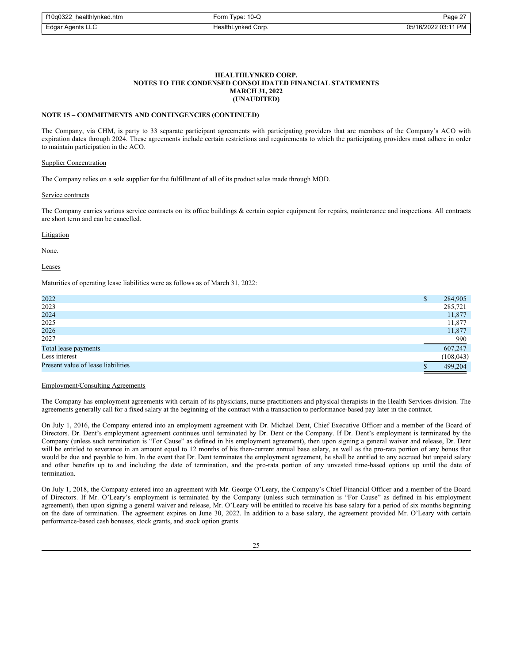| f10q0322_healthlynked.htm | Form Type: 10-Q    | Page 27             |
|---------------------------|--------------------|---------------------|
| Edgar Agents LLC          | HealthLynked Corp. | 05/16/2022 03:11 PM |

## **NOTE 15 – COMMITMENTS AND CONTINGENCIES (CONTINUED)**

The Company, via CHM, is party to 33 separate participant agreements with participating providers that are members of the Company's ACO with expiration dates through 2024. These agreements include certain restrictions and requirements to which the participating providers must adhere in order to maintain participation in the ACO.

#### Supplier Concentration

The Company relies on a sole supplier for the fulfillment of all of its product sales made through MOD.

#### Service contracts

The Company carries various service contracts on its office buildings & certain copier equipment for repairs, maintenance and inspections. All contracts are short term and can be cancelled.

#### Litigation

None.

Leases

Maturities of operating lease liabilities were as follows as of March 31, 2022:

| 2022                               | 284,905    |
|------------------------------------|------------|
| 2023                               | 285,721    |
| 2024                               | 11,877     |
| 2025                               | 11,877     |
| 2026                               | 11,877     |
| 2027                               | 990        |
| Total lease payments               | 607,247    |
| Less interest                      | (108, 043) |
| Present value of lease liabilities | 499.204    |

#### Employment/Consulting Agreements

The Company has employment agreements with certain of its physicians, nurse practitioners and physical therapists in the Health Services division. The agreements generally call for a fixed salary at the beginning of the contract with a transaction to performance-based pay later in the contract.

On July 1, 2016, the Company entered into an employment agreement with Dr. Michael Dent, Chief Executive Officer and a member of the Board of Directors. Dr. Dent's employment agreement continues until terminated by Dr. Dent or the Company. If Dr. Dent's employment is terminated by the Company (unless such termination is "For Cause" as defined in his employment agreement), then upon signing a general waiver and release, Dr. Dent will be entitled to severance in an amount equal to 12 months of his then-current annual base salary, as well as the pro-rata portion of any bonus that would be due and payable to him. In the event that Dr. Dent terminates the employment agreement, he shall be entitled to any accrued but unpaid salary and other benefits up to and including the date of termination, and the pro-rata portion of any unvested time-based options up until the date of termination.

On July 1, 2018, the Company entered into an agreement with Mr. George O'Leary, the Company's Chief Financial Officer and a member of the Board of Directors. If Mr. O'Leary's employment is terminated by the Company (unless such termination is "For Cause" as defined in his employment agreement), then upon signing a general waiver and release, Mr. O'Leary will be entitled to receive his base salary for a period of six months beginning on the date of termination. The agreement expires on June 30, 2022. In addition to a base salary, the agreement provided Mr. O'Leary with certain performance-based cash bonuses, stock grants, and stock option grants.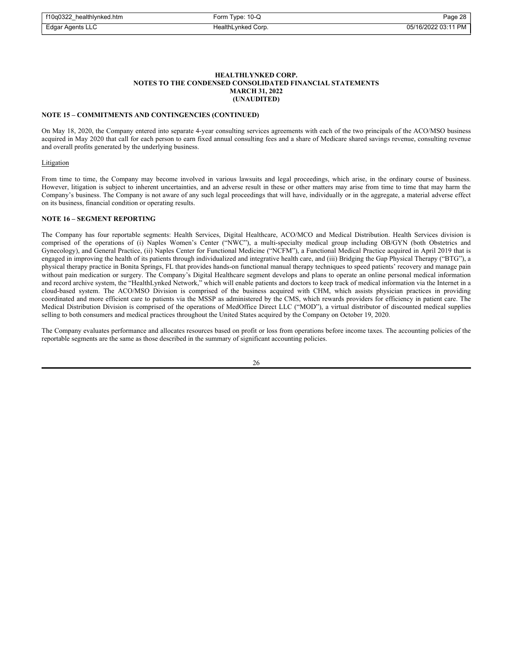| f10q0322_healthlynked.htm | Form Type: 10-Q    | Page 28             |
|---------------------------|--------------------|---------------------|
| Edgar Agents LLC          | HealthLynked Corp. | 05/16/2022 03:11 PM |

## **NOTE 15 – COMMITMENTS AND CONTINGENCIES (CONTINUED)**

On May 18, 2020, the Company entered into separate 4-year consulting services agreements with each of the two principals of the ACO/MSO business acquired in May 2020 that call for each person to earn fixed annual consulting fees and a share of Medicare shared savings revenue, consulting revenue and overall profits generated by the underlying business.

#### Litigation

From time to time, the Company may become involved in various lawsuits and legal proceedings, which arise, in the ordinary course of business. However, litigation is subject to inherent uncertainties, and an adverse result in these or other matters may arise from time to time that may harm the Company's business. The Company is not aware of any such legal proceedings that will have, individually or in the aggregate, a material adverse effect on its business, financial condition or operating results.

### **NOTE 16 – SEGMENT REPORTING**

The Company has four reportable segments: Health Services, Digital Healthcare, ACO/MCO and Medical Distribution. Health Services division is comprised of the operations of (i) Naples Women's Center ("NWC"), a multi-specialty medical group including OB/GYN (both Obstetrics and Gynecology), and General Practice, (ii) Naples Center for Functional Medicine ("NCFM"), a Functional Medical Practice acquired in April 2019 that is engaged in improving the health of its patients through individualized and integrative health care, and (iii) Bridging the Gap Physical Therapy ("BTG"), a physical therapy practice in Bonita Springs, FL that provides hands-on functional manual therapy techniques to speed patients' recovery and manage pain without pain medication or surgery. The Company's Digital Healthcare segment develops and plans to operate an online personal medical information and record archive system, the "HealthLynked Network," which will enable patients and doctors to keep track of medical information via the Internet in a cloud-based system. The ACO/MSO Division is comprised of the business acquired with CHM, which assists physician practices in providing coordinated and more efficient care to patients via the MSSP as administered by the CMS, which rewards providers for efficiency in patient care. The Medical Distribution Division is comprised of the operations of MedOffice Direct LLC ("MOD"), a virtual distributor of discounted medical supplies selling to both consumers and medical practices throughout the United States acquired by the Company on October 19, 2020.

The Company evaluates performance and allocates resources based on profit or loss from operations before income taxes. The accounting policies of the reportable segments are the same as those described in the summary of significant accounting policies.

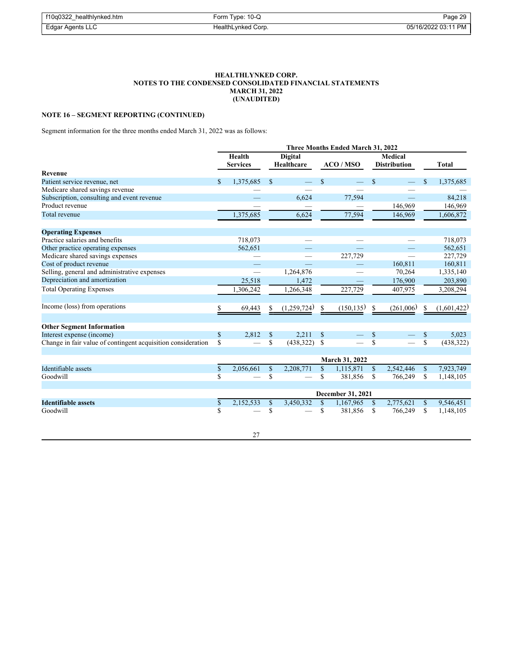| f10q0322 healthlynked.htm | Form Type: 10-Q    | Page 29             |
|---------------------------|--------------------|---------------------|
| Edgar Agents LLC          | HealthLynked Corp. | 05/16/2022 03:11 PM |

# **NOTE 16 – SEGMENT REPORTING (CONTINUED)**

Segment information for the three months ended March 31, 2022 was as follows:

| <b>Three Months Ended March 31, 2022</b>                                  |  |  |             |             |                           |              |                                                              |  |
|---------------------------------------------------------------------------|--|--|-------------|-------------|---------------------------|--------------|--------------------------------------------------------------|--|
| Medical<br>ACO/MSO<br><b>Distribution</b><br><b>Total</b>                 |  |  |             | Healthcare  | Health<br><b>Services</b> |              |                                                              |  |
|                                                                           |  |  |             |             |                           |              | Revenue                                                      |  |
| \$<br>$\mathbf S$<br>\$<br>1,375,685                                      |  |  |             | \$          | 1,375,685                 | $\mathbb{S}$ | Patient service revenue, net                                 |  |
|                                                                           |  |  |             |             |                           |              | Medicare shared savings revenue                              |  |
| 84,218<br>77,594                                                          |  |  | 6.624       |             |                           |              | Subscription, consulting and event revenue                   |  |
| 146,969<br>146,969                                                        |  |  |             |             |                           |              | Product revenue                                              |  |
| 77,594<br>146,969<br>1,606,872                                            |  |  | 6,624       |             | 1,375,685                 |              | Total revenue                                                |  |
|                                                                           |  |  |             |             |                           |              | <b>Operating Expenses</b>                                    |  |
| 718,073                                                                   |  |  |             |             | 718,073                   |              | Practice salaries and benefits                               |  |
| 562,651                                                                   |  |  |             |             | 562,651                   |              | Other practice operating expenses                            |  |
| 227,729<br>227,729                                                        |  |  |             |             |                           |              | Medicare shared savings expenses                             |  |
| 160,811<br>160,811                                                        |  |  |             |             |                           |              | Cost of product revenue                                      |  |
| 70,264<br>1,335,140                                                       |  |  | 1,264,876   |             |                           |              | Selling, general and administrative expenses                 |  |
| 176,900<br>203,890                                                        |  |  | 1,472       |             | 25,518                    |              | Depreciation and amortization                                |  |
| 227,729<br>407,975<br>3,208,294                                           |  |  | 1,266,348   |             | 1,306,242                 |              | <b>Total Operating Expenses</b>                              |  |
| (261,006)<br>(150, 135)<br>\$<br>(1,601,422)<br>\$                        |  |  | (1,259,724) | \$          | 69,443                    | \$           | Income (loss) from operations                                |  |
|                                                                           |  |  |             |             |                           |              | <b>Other Segment Information</b>                             |  |
| $\mathcal{S}$<br>\$<br>5,023                                              |  |  | 2.211       | \$          | 2.812                     | \$           | Interest expense (income)                                    |  |
| $\mathbb{S}$<br>$\mathbf S$<br>\$<br>(438, 322)                           |  |  | (438, 322)  | $\mathbf S$ |                           | \$           | Change in fair value of contingent acquisition consideration |  |
| March 31, 2022                                                            |  |  |             |             |                           |              |                                                              |  |
| \$<br>\$<br>2,542,446<br>7,923,749<br>1,115,871<br>\$                     |  |  | 2,208,771   | \$          | 2,056,661                 | \$           | Identifiable assets                                          |  |
| \$<br>$\mathbf S$<br>\$<br>381,856<br>766,249<br>1,148,105                |  |  |             | \$          |                           | \$           | Goodwill                                                     |  |
| December 31, 2021                                                         |  |  |             |             |                           |              |                                                              |  |
| 2,775,621<br>$\mathbb{S}$<br>1,167,965<br>9,546,451<br><sup>S</sup><br>\$ |  |  | 3,450,332   | \$          | 2,152,533                 | \$           | <b>Identifiable assets</b>                                   |  |
| \$<br>\$<br>381,856<br>766,249<br>\$<br>1,148,105                         |  |  |             | \$          |                           | \$           | Goodwill                                                     |  |
| \$                                                                        |  |  |             |             |                           |              |                                                              |  |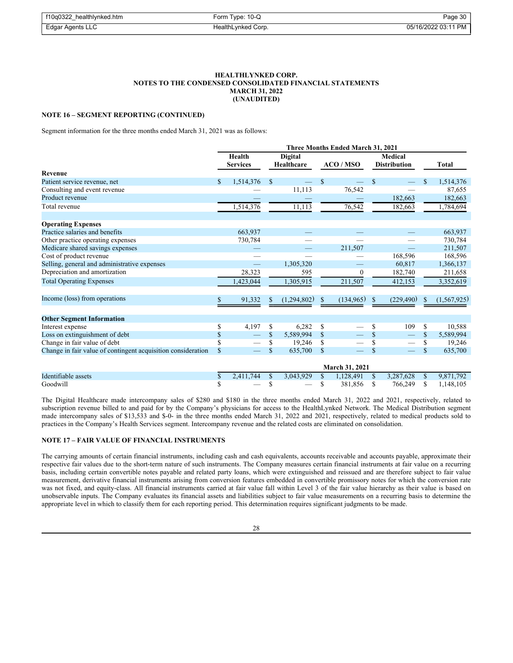| f10q0322 healthlynked.htm | Form Type: 10-Q    | Page 30             |
|---------------------------|--------------------|---------------------|
| Edgar Agents LLC          | HealthLynked Corp. | 05/16/2022 03:11 PM |

# **NOTE 16 – SEGMENT REPORTING (CONTINUED)**

Segment information for the three months ended March 31, 2021 was as follows:

|                                                              | <b>Three Months Ended March 31, 2021</b> |                 |    |             |    |           |               |                     |              |               |
|--------------------------------------------------------------|------------------------------------------|-----------------|----|-------------|----|-----------|---------------|---------------------|--------------|---------------|
|                                                              |                                          | <b>Health</b>   |    | Digital     |    |           |               | Medical             |              |               |
|                                                              |                                          | <b>Services</b> |    | Healthcare  |    | ACO/MSO   |               | <b>Distribution</b> |              | <b>Total</b>  |
| Revenue                                                      |                                          |                 |    |             |    |           |               |                     |              |               |
| Patient service revenue, net                                 | $\mathbb{S}$                             | 1,514,376       | \$ |             | \$ |           | \$            |                     | \$           | 1,514,376     |
| Consulting and event revenue                                 |                                          |                 |    | 11,113      |    | 76,542    |               |                     |              | 87,655        |
| Product revenue                                              |                                          |                 |    |             |    |           |               | 182,663             |              | 182,663       |
| Total revenue                                                |                                          | 1,514,376       |    | 11,113      |    | 76,542    |               | 182,663             |              | 1,784,694     |
|                                                              |                                          |                 |    |             |    |           |               |                     |              |               |
| <b>Operating Expenses</b>                                    |                                          |                 |    |             |    |           |               |                     |              |               |
| Practice salaries and benefits                               |                                          | 663,937         |    |             |    |           |               |                     |              | 663,937       |
| Other practice operating expenses                            |                                          | 730,784         |    |             |    |           |               |                     |              | 730,784       |
| Medicare shared savings expenses                             |                                          |                 |    |             |    | 211,507   |               |                     |              | 211,507       |
| Cost of product revenue                                      |                                          |                 |    |             |    |           |               | 168,596             |              | 168,596       |
| Selling, general and administrative expenses                 |                                          |                 |    | 1,305,320   |    |           |               | 60,817              |              | 1,366,137     |
| Depreciation and amortization                                |                                          | 28,323          |    | 595         |    | $\Omega$  |               | 182,740             |              | 211,658       |
| <b>Total Operating Expenses</b>                              |                                          | 1,423,044       |    | 1,305,915   |    | 211,507   |               | 412,153             |              | 3,352,619     |
|                                                              |                                          |                 |    |             |    |           |               |                     |              |               |
| Income (loss) from operations                                |                                          | 91,332          | \$ | (1,294,802) | \$ | (134,965) | <sup>\$</sup> | (229, 490)          | $\mathbb{S}$ | (1, 567, 925) |
|                                                              |                                          |                 |    |             |    |           |               |                     |              |               |
| <b>Other Segment Information</b>                             |                                          |                 |    |             |    |           |               |                     |              |               |
| Interest expense                                             | \$                                       | 4,197           | S  | 6,282       | \$ |           | \$            | 109                 | S            | 10,588        |
| Loss on extinguishment of debt                               | \$                                       |                 | \$ | 5,589,994   | \$ |           | \$            |                     | \$           | 5,589,994     |
| Change in fair value of debt                                 |                                          |                 | \$ | 19,246      | S  |           | \$            |                     |              | 19,246        |
| Change in fair value of contingent acquisition consideration | S                                        |                 | \$ | 635,700     | \$ |           | \$            |                     | \$           | 635,700       |
|                                                              |                                          |                 |    |             |    |           |               |                     |              |               |
|                                                              |                                          |                 |    |             |    | 1.21.202  |               |                     |              |               |

|                     | <b>March 31, 2021</b> |  |  |                          |  |  |  |                                                                             |  |                      |
|---------------------|-----------------------|--|--|--------------------------|--|--|--|-----------------------------------------------------------------------------|--|----------------------|
| Identifiable assets |                       |  |  |                          |  |  |  | $\frac{1}{2}$ 2,411,744 \$ 3,043,929 \$ 1,128,491 \$ 3,287,628 \$ 9,871,792 |  |                      |
| Goodwill            |                       |  |  | $-$ \$ $-$ \$ 381,856 \$ |  |  |  |                                                                             |  | 766.249 \$ 1.148.105 |

The Digital Healthcare made intercompany sales of \$280 and \$180 in the three months ended March 31, 2022 and 2021, respectively, related to subscription revenue billed to and paid for by the Company's physicians for access to the HealthLynked Network. The Medical Distribution segment made intercompany sales of \$13,533 and \$-0- in the three months ended March 31, 2022 and 2021, respectively, related to medical products sold to practices in the Company's Health Services segment. Intercompany revenue and the related costs are eliminated on consolidation.

## **NOTE 17 – FAIR VALUE OF FINANCIAL INSTRUMENTS**

The carrying amounts of certain financial instruments, including cash and cash equivalents, accounts receivable and accounts payable, approximate their respective fair values due to the short-term nature of such instruments. The Company measures certain financial instruments at fair value on a recurring basis, including certain convertible notes payable and related party loans, which were extinguished and reissued and are therefore subject to fair value measurement, derivative financial instruments arising from conversion features embedded in convertible promissory notes for which the conversion rate was not fixed, and equity-class. All financial instruments carried at fair value fall within Level 3 of the fair value hierarchy as their value is based on unobservable inputs. The Company evaluates its financial assets and liabilities subject to fair value measurements on a recurring basis to determine the appropriate level in which to classify them for each reporting period. This determination requires significant judgments to be made.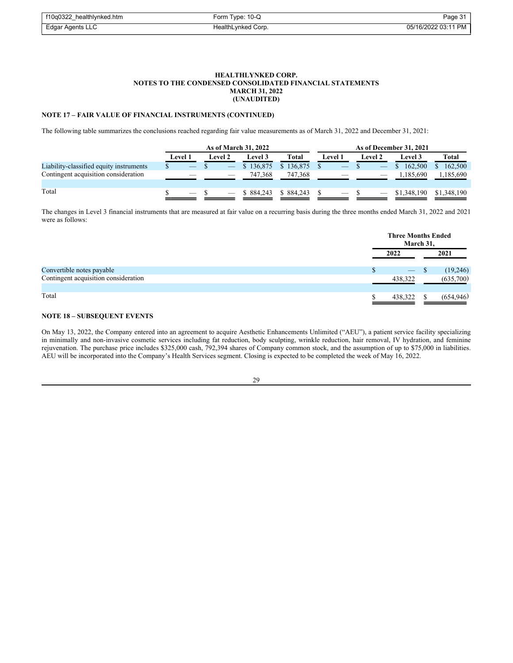| f10q0322_healthlynked.htm | Form Type: 10-Q    | Page 31             |
|---------------------------|--------------------|---------------------|
| Edgar Agents LLC          | HealthLynked Corp. | 05/16/2022 03:11 PM |

## **NOTE 17 – FAIR VALUE OF FINANCIAL INSTRUMENTS (CONTINUED)**

The following table summarizes the conclusions reached regarding fair value measurements as of March 31, 2022 and December 31, 2021:

|                                         | <b>As of March 31, 2022</b> |  |                |            |              |  |         | As of December 31, 2021 |                          |             |             |  |  |  |  |  |
|-----------------------------------------|-----------------------------|--|----------------|------------|--------------|--|---------|-------------------------|--------------------------|-------------|-------------|--|--|--|--|--|
|                                         | <b>Level 1</b>              |  | <b>Level 2</b> | Level 3    | <b>Total</b> |  | Level 1 |                         | <b>Level 2</b>           | Level 3     | Total       |  |  |  |  |  |
| Liability-classified equity instruments |                             |  |                | \$136,875  | \$136,875    |  |         |                         |                          | 162,500     | 162,500     |  |  |  |  |  |
| Contingent acquisition consideration    |                             |  |                | 747,368    | 747,368      |  |         |                         | $\overline{\phantom{a}}$ | 1.185.690   | 1,185,690   |  |  |  |  |  |
|                                         |                             |  |                |            |              |  |         |                         |                          |             |             |  |  |  |  |  |
| Total                                   | -                           |  |                | \$ 884,243 | \$ 884,243   |  | $-$     |                         |                          | \$1,348,190 | \$1,348,190 |  |  |  |  |  |

The changes in Level 3 financial instruments that are measured at fair value on a recurring basis during the three months ended March 31, 2022 and 2021 were as follows:

|                                      | <b>Three Months Ended</b><br>March 31, |  |            |
|--------------------------------------|----------------------------------------|--|------------|
|                                      | 2022                                   |  | 2021       |
| Convertible notes payable            | \$<br>$\overline{\phantom{a}}$         |  | (19,246)   |
| Contingent acquisition consideration | 438,322                                |  | (635,700)  |
| Total                                | 438,322                                |  | (654, 946) |

## **NOTE 18 – SUBSEQUENT EVENTS**

On May 13, 2022, the Company entered into an agreement to acquire Aesthetic Enhancements Unlimited ("AEU"), a patient service facility specializing in minimally and non-invasive cosmetic services including fat reduction, body sculpting, wrinkle reduction, hair removal, IV hydration, and feminine rejuvenation. The purchase price includes \$325,000 cash, 792,394 shares of Company common stock, and the assumption of up to \$75,000 in liabilities. AEU will be incorporated into the Company's Health Services segment. Closing is expected to be completed the week of May 16, 2022.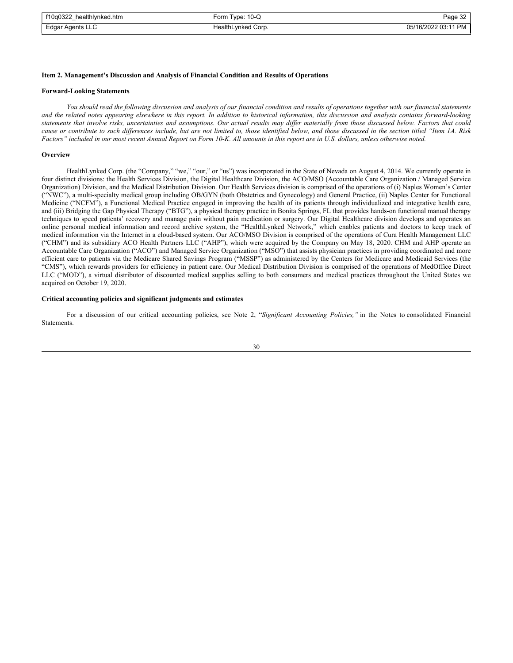| f10q0322 healthlynked.htm | Form Type: 10-Q    | Page 32             |
|---------------------------|--------------------|---------------------|
| Edgar Agents LLC          | HealthLynked Corp. | 05/16/2022 03:11 PM |

## **Item 2. Management's Discussion and Analysis of Financial Condition and Results of Operations**

### **Forward-Looking Statements**

*You should read the following discussion and analysis of our financial condition and results of operations together with our financial statements and the related notes appearing elsewhere in this report. In addition to historical information, this discussion and analysis contains forward-looking statements that involve risks, uncertainties and assumptions. Our actual results may differ materially from those discussed below. Factors that could cause or contribute to such differences include, but are not limited to, those identified below, and those discussed in the section titled "Item 1A. Risk Factors" included in our most recent Annual Report on Form 10-K. All amounts in this report are in U.S. dollars, unless otherwise noted.*

## **Overview**

HealthLynked Corp. (the "Company," "we," "our," or "us") was incorporated in the State of Nevada on August 4, 2014. We currently operate in four distinct divisions: the Health Services Division, the Digital Healthcare Division, the ACO/MSO (Accountable Care Organization / Managed Service Organization) Division, and the Medical Distribution Division. Our Health Services division is comprised of the operations of (i) Naples Women's Center ("NWC"), a multi-specialty medical group including OB/GYN (both Obstetrics and Gynecology) and General Practice, (ii) Naples Center for Functional Medicine ("NCFM"), a Functional Medical Practice engaged in improving the health of its patients through individualized and integrative health care, and (iii) Bridging the Gap Physical Therapy ("BTG"), a physical therapy practice in Bonita Springs, FL that provides hands-on functional manual therapy techniques to speed patients' recovery and manage pain without pain medication or surgery. Our Digital Healthcare division develops and operates an online personal medical information and record archive system, the "HealthLynked Network," which enables patients and doctors to keep track of medical information via the Internet in a cloud-based system. Our ACO/MSO Division is comprised of the operations of Cura Health Management LLC ("CHM") and its subsidiary ACO Health Partners LLC ("AHP"), which were acquired by the Company on May 18, 2020. CHM and AHP operate an Accountable Care Organization ("ACO") and Managed Service Organization ("MSO") that assists physician practices in providing coordinated and more efficient care to patients via the Medicare Shared Savings Program ("MSSP") as administered by the Centers for Medicare and Medicaid Services (the "CMS"), which rewards providers for efficiency in patient care. Our Medical Distribution Division is comprised of the operations of MedOffice Direct LLC ("MOD"), a virtual distributor of discounted medical supplies selling to both consumers and medical practices throughout the United States we acquired on October 19, 2020.

## **Critical accounting policies and significant judgments and estimates**

For a discussion of our critical accounting policies, see Note 2, "*Significant Accounting Policies,"* in the Notes to consolidated Financial Statements.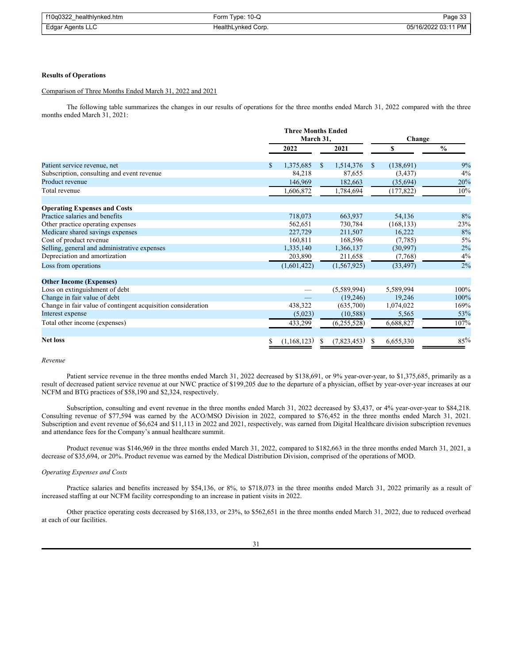| f10q0322 healthlynked.htm | Form Type: 10-Q    | Page 33             |
|---------------------------|--------------------|---------------------|
| Edgar Agents LLC          | HealthLynked Corp. | 05/16/2022 03:11 PM |

## **Results of Operations**

# Comparison of Three Months Ended March 31, 2022 and 2021

The following table summarizes the changes in our results of operations for the three months ended March 31, 2022 compared with the three months ended March 31, 2021:

|                                                              | <b>Three Months Ended</b><br>March 31, |             | Change        |               |          |            |               |
|--------------------------------------------------------------|----------------------------------------|-------------|---------------|---------------|----------|------------|---------------|
|                                                              |                                        | 2022        |               | 2021          |          | S          | $\frac{0}{0}$ |
| Patient service revenue, net                                 | S.                                     | 1,375,685   | <sup>S</sup>  | 1,514,376     | -S       | (138,691)  | 9%            |
| Subscription, consulting and event revenue                   |                                        | 84,218      |               | 87,655        |          | (3,437)    | 4%            |
| Product revenue                                              |                                        | 146,969     |               | 182,663       |          | (35,694)   | 20%           |
| Total revenue                                                |                                        | 1,606,872   |               | 1,784,694     |          | (177, 822) | 10%           |
| <b>Operating Expenses and Costs</b>                          |                                        |             |               |               |          |            |               |
| Practice salaries and benefits                               |                                        | 718,073     |               | 663,937       |          | 54,136     | 8%            |
| Other practice operating expenses                            |                                        | 562,651     |               | 730,784       |          | (168, 133) | 23%           |
| Medicare shared savings expenses                             |                                        | 227,729     |               | 211,507       |          | 16,222     | 8%            |
| Cost of product revenue                                      |                                        | 160,811     |               | 168,596       |          | (7,785)    | 5%            |
| Selling, general and administrative expenses                 |                                        | 1,335,140   |               | 1,366,137     |          | (30,997)   | 2%            |
| Depreciation and amortization                                |                                        | 203,890     |               | 211,658       |          | (7,768)    | 4%            |
| Loss from operations                                         |                                        | (1,601,422) |               | (1, 567, 925) |          | (33, 497)  | 2%            |
| <b>Other Income (Expenses)</b>                               |                                        |             |               |               |          |            |               |
| Loss on extinguishment of debt                               |                                        |             |               | (5,589,994)   |          | 5,589,994  | 100%          |
| Change in fair value of debt                                 |                                        |             |               | (19,246)      |          | 19,246     | 100%          |
| Change in fair value of contingent acquisition consideration |                                        | 438,322     |               | (635,700)     |          | 1,074,022  | 169%          |
| Interest expense                                             |                                        | (5,023)     |               | (10, 588)     |          | 5,565      | 53%           |
| Total other income (expenses)                                |                                        | 433,299     |               | (6,255,528)   |          | 6,688,827  | 107%          |
| <b>Net loss</b>                                              | S                                      | (1,168,123) | <sup>\$</sup> | (7,823,453)   | <b>S</b> | 6,655,330  | 85%           |

## *Revenue*

Patient service revenue in the three months ended March 31, 2022 decreased by \$138,691, or 9% year-over-year, to \$1,375,685, primarily as a result of decreased patient service revenue at our NWC practice of \$199,205 due to the departure of a physician, offset by year-over-year increases at our NCFM and BTG practices of \$58,190 and \$2,324, respectively.

Subscription, consulting and event revenue in the three months ended March 31, 2022 decreased by \$3,437, or 4% year-over-year to \$84,218. Consulting revenue of \$77,594 was earned by the ACO/MSO Division in 2022, compared to \$76,452 in the three months ended March 31, 2021. Subscription and event revenue of \$6,624 and \$11,113 in 2022 and 2021, respectively, was earned from Digital Healthcare division subscription revenues and attendance fees for the Company's annual healthcare summit.

Product revenue was \$146,969 in the three months ended March 31, 2022, compared to \$182,663 in the three months ended March 31, 2021, a decrease of \$35,694, or 20%. Product revenue was earned by the Medical Distribution Division, comprised of the operations of MOD.

### *Operating Expenses and Costs*

Practice salaries and benefits increased by \$54,136, or 8%, to \$718,073 in the three months ended March 31, 2022 primarily as a result of increased staffing at our NCFM facility corresponding to an increase in patient visits in 2022.

Other practice operating costs decreased by \$168,133, or 23%, to \$562,651 in the three months ended March 31, 2022, due to reduced overhead at each of our facilities.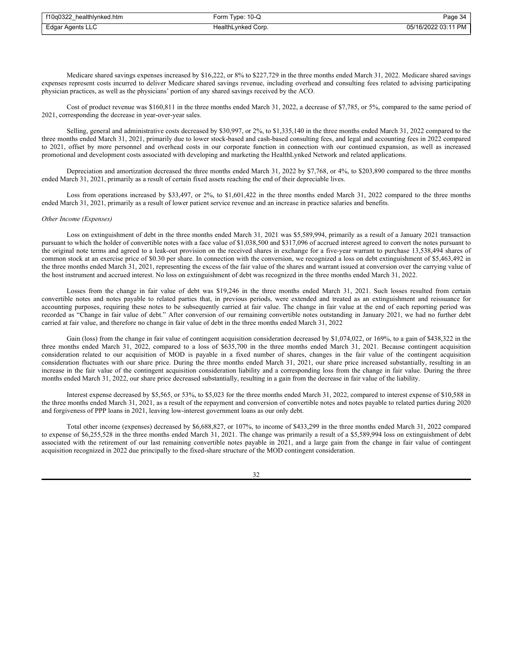| f10q0322_healthlynked.htm | Form Type: 10-Q    | Page 34             |
|---------------------------|--------------------|---------------------|
| Edgar Agents LLC          | HealthLynked Corp. | 05/16/2022 03:11 PM |

Medicare shared savings expenses increased by \$16,222, or 8% to \$227,729 in the three months ended March 31, 2022. Medicare shared savings expenses represent costs incurred to deliver Medicare shared savings revenue, including overhead and consulting fees related to advising participating physician practices, as well as the physicians' portion of any shared savings received by the ACO.

Cost of product revenue was \$160,811 in the three months ended March 31, 2022, a decrease of \$7,785, or 5%, compared to the same period of 2021, corresponding the decrease in year-over-year sales.

Selling, general and administrative costs decreased by \$30,997, or 2%, to \$1,335,140 in the three months ended March 31, 2022 compared to the three months ended March 31, 2021, primarily due to lower stock-based and cash-based consulting fees, and legal and accounting fees in 2022 compared to 2021, offset by more personnel and overhead costs in our corporate function in connection with our continued expansion, as well as increased promotional and development costs associated with developing and marketing the HealthLynked Network and related applications.

Depreciation and amortization decreased the three months ended March 31, 2022 by \$7,768, or 4%, to \$203,890 compared to the three months ended March 31, 2021, primarily as a result of certain fixed assets reaching the end of their depreciable lives.

Loss from operations increased by \$33,497, or 2%, to \$1,601,422 in the three months ended March 31, 2022 compared to the three months ended March 31, 2021, primarily as a result of lower patient service revenue and an increase in practice salaries and benefits.

## *Other Income (Expenses)*

Loss on extinguishment of debt in the three months ended March 31, 2021 was \$5,589,994, primarily as a result of a January 2021 transaction pursuant to which the holder of convertible notes with a face value of \$1,038,500 and \$317,096 of accrued interest agreed to convert the notes pursuant to the original note terms and agreed to a leak-out provision on the received shares in exchange for a five-year warrant to purchase 13,538,494 shares of common stock at an exercise price of \$0.30 per share. In connection with the conversion, we recognized a loss on debt extinguishment of \$5,463,492 in the three months ended March 31, 2021, representing the excess of the fair value of the shares and warrant issued at conversion over the carrying value of the host instrument and accrued interest. No loss on extinguishment of debt was recognized in the three months ended March 31, 2022.

Losses from the change in fair value of debt was \$19,246 in the three months ended March 31, 2021. Such losses resulted from certain convertible notes and notes payable to related parties that, in previous periods, were extended and treated as an extinguishment and reissuance for accounting purposes, requiring these notes to be subsequently carried at fair value. The change in fair value at the end of each reporting period was recorded as "Change in fair value of debt." After conversion of our remaining convertible notes outstanding in January 2021, we had no further debt carried at fair value, and therefore no change in fair value of debt in the three months ended March 31, 2022

Gain (loss) from the change in fair value of contingent acquisition consideration decreased by \$1,074,022, or 169%, to a gain of \$438,322 in the three months ended March 31, 2022, compared to a loss of \$635,700 in the three months ended March 31, 2021. Because contingent acquisition consideration related to our acquisition of MOD is payable in a fixed number of shares, changes in the fair value of the contingent acquisition consideration fluctuates with our share price. During the three months ended March 31, 2021, our share price increased substantially, resulting in an increase in the fair value of the contingent acquisition consideration liability and a corresponding loss from the change in fair value. During the three months ended March 31, 2022, our share price decreased substantially, resulting in a gain from the decrease in fair value of the liability.

Interest expense decreased by \$5,565, or 53%, to \$5,023 for the three months ended March 31, 2022, compared to interest expense of \$10,588 in the three months ended March 31, 2021, as a result of the repayment and conversion of convertible notes and notes payable to related parties during 2020 and forgiveness of PPP loans in 2021, leaving low-interest government loans as our only debt.

Total other income (expenses) decreased by \$6,688,827, or 107%, to income of \$433,299 in the three months ended March 31, 2022 compared to expense of \$6,255,528 in the three months ended March 31, 2021. The change was primarily a result of a \$5,589,994 loss on extinguishment of debt associated with the retirement of our last remaining convertible notes payable in 2021, and a large gain from the change in fair value of contingent acquisition recognized in 2022 due principally to the fixed-share structure of the MOD contingent consideration.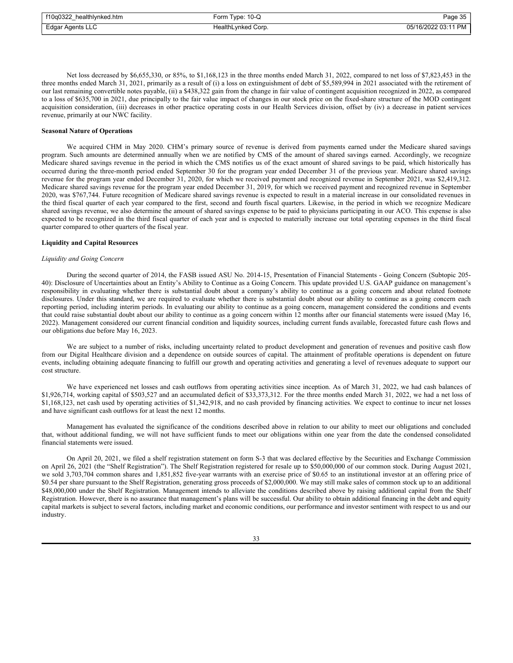| f10q0322 healthlynked.htm | Form Type: 10-Q    | Page 35             |
|---------------------------|--------------------|---------------------|
| Edgar Agents LLC          | HealthLynked Corp. | 05/16/2022 03:11 PM |

Net loss decreased by \$6,655,330, or 85%, to \$1,168,123 in the three months ended March 31, 2022, compared to net loss of \$7,823,453 in the three months ended March 31, 2021, primarily as a result of (i) a loss on extinguishment of debt of \$5,589,994 in 2021 associated with the retirement of our last remaining convertible notes payable, (ii) a \$438,322 gain from the change in fair value of contingent acquisition recognized in 2022, as compared to a loss of \$635,700 in 2021, due principally to the fair value impact of changes in our stock price on the fixed-share structure of the MOD contingent acquisition consideration, (iii) decreases in other practice operating costs in our Health Services division, offset by (iv) a decrease in patient services revenue, primarily at our NWC facility.

#### **Seasonal Nature of Operations**

We acquired CHM in May 2020. CHM's primary source of revenue is derived from payments earned under the Medicare shared savings program. Such amounts are determined annually when we are notified by CMS of the amount of shared savings earned. Accordingly, we recognize Medicare shared savings revenue in the period in which the CMS notifies us of the exact amount of shared savings to be paid, which historically has occurred during the three-month period ended September 30 for the program year ended December 31 of the previous year. Medicare shared savings revenue for the program year ended December 31, 2020, for which we received payment and recognized revenue in September 2021, was \$2,419,312. Medicare shared savings revenue for the program year ended December 31, 2019, for which we received payment and recognized revenue in September 2020, was \$767,744. Future recognition of Medicare shared savings revenue is expected to result in a material increase in our consolidated revenues in the third fiscal quarter of each year compared to the first, second and fourth fiscal quarters. Likewise, in the period in which we recognize Medicare shared savings revenue, we also determine the amount of shared savings expense to be paid to physicians participating in our ACO. This expense is also expected to be recognized in the third fiscal quarter of each year and is expected to materially increase our total operating expenses in the third fiscal quarter compared to other quarters of the fiscal year.

## **Liquidity and Capital Resources**

## *Liquidity and Going Concern*

During the second quarter of 2014, the FASB issued ASU No. 2014-15, Presentation of Financial Statements - Going Concern (Subtopic 205- 40): Disclosure of Uncertainties about an Entity's Ability to Continue as a Going Concern. This update provided U.S. GAAP guidance on management's responsibility in evaluating whether there is substantial doubt about a company's ability to continue as a going concern and about related footnote disclosures. Under this standard, we are required to evaluate whether there is substantial doubt about our ability to continue as a going concern each reporting period, including interim periods. In evaluating our ability to continue as a going concern, management considered the conditions and events that could raise substantial doubt about our ability to continue as a going concern within 12 months after our financial statements were issued (May 16, 2022). Management considered our current financial condition and liquidity sources, including current funds available, forecasted future cash flows and our obligations due before May 16, 2023.

We are subject to a number of risks, including uncertainty related to product development and generation of revenues and positive cash flow from our Digital Healthcare division and a dependence on outside sources of capital. The attainment of profitable operations is dependent on future events, including obtaining adequate financing to fulfill our growth and operating activities and generating a level of revenues adequate to support our cost structure.

We have experienced net losses and cash outflows from operating activities since inception. As of March 31, 2022, we had cash balances of \$1,926,714, working capital of \$503,527 and an accumulated deficit of \$33,373,312. For the three months ended March 31, 2022, we had a net loss of \$1,168,123, net cash used by operating activities of \$1,342,918, and no cash provided by financing activities. We expect to continue to incur net losses and have significant cash outflows for at least the next 12 months.

Management has evaluated the significance of the conditions described above in relation to our ability to meet our obligations and concluded that, without additional funding, we will not have sufficient funds to meet our obligations within one year from the date the condensed consolidated financial statements were issued.

On April 20, 2021, we filed a shelf registration statement on form S-3 that was declared effective by the Securities and Exchange Commission on April 26, 2021 (the "Shelf Registration"). The Shelf Registration registered for resale up to \$50,000,000 of our common stock. During August 2021, we sold 3,703,704 common shares and 1,851,852 five-year warrants with an exercise price of \$0.65 to an institutional investor at an offering price of \$0.54 per share pursuant to the Shelf Registration, generating gross proceeds of \$2,000,000. We may still make sales of common stock up to an additional \$48,000,000 under the Shelf Registration. Management intends to alleviate the conditions described above by raising additional capital from the Shelf Registration. However, there is no assurance that management's plans will be successful. Our ability to obtain additional financing in the debt and equity capital markets is subject to several factors, including market and economic conditions, our performance and investor sentiment with respect to us and our industry.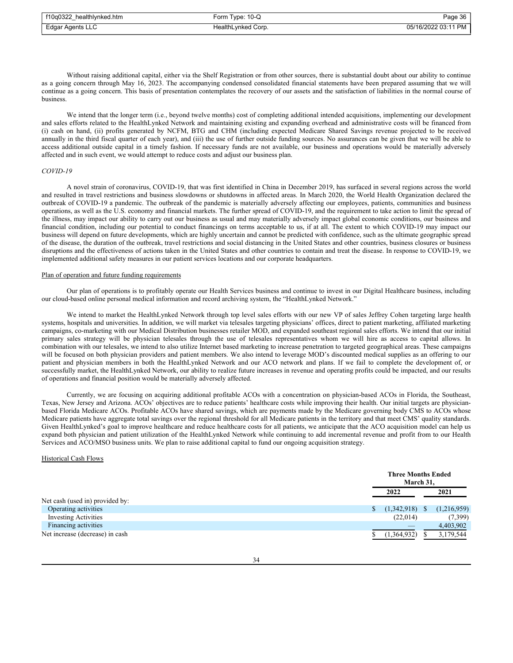| f10q0322 healthlynked.htm | Form Type: 10-Q    | Page 36             |
|---------------------------|--------------------|---------------------|
| Edgar Agents LLC          | HealthLynked Corp. | 05/16/2022 03:11 PM |

Without raising additional capital, either via the Shelf Registration or from other sources, there is substantial doubt about our ability to continue as a going concern through May 16, 2023. The accompanying condensed consolidated financial statements have been prepared assuming that we will continue as a going concern. This basis of presentation contemplates the recovery of our assets and the satisfaction of liabilities in the normal course of business.

We intend that the longer term (i.e., beyond twelve months) cost of completing additional intended acquisitions, implementing our development and sales efforts related to the HealthLynked Network and maintaining existing and expanding overhead and administrative costs will be financed from (i) cash on hand, (ii) profits generated by NCFM, BTG and CHM (including expected Medicare Shared Savings revenue projected to be received annually in the third fiscal quarter of each year), and (iii) the use of further outside funding sources. No assurances can be given that we will be able to access additional outside capital in a timely fashion. If necessary funds are not available, our business and operations would be materially adversely affected and in such event, we would attempt to reduce costs and adjust our business plan.

# *COVID-19*

A novel strain of coronavirus, COVID-19, that was first identified in China in December 2019, has surfaced in several regions across the world and resulted in travel restrictions and business slowdowns or shutdowns in affected areas. In March 2020, the World Health Organization declared the outbreak of COVID-19 a pandemic. The outbreak of the pandemic is materially adversely affecting our employees, patients, communities and business operations, as well as the U.S. economy and financial markets. The further spread of COVID-19, and the requirement to take action to limit the spread of the illness, may impact our ability to carry out our business as usual and may materially adversely impact global economic conditions, our business and financial condition, including our potential to conduct financings on terms acceptable to us, if at all. The extent to which COVID-19 may impact our business will depend on future developments, which are highly uncertain and cannot be predicted with confidence, such as the ultimate geographic spread of the disease, the duration of the outbreak, travel restrictions and social distancing in the United States and other countries, business closures or business disruptions and the effectiveness of actions taken in the United States and other countries to contain and treat the disease. In response to COVID-19, we implemented additional safety measures in our patient services locations and our corporate headquarters.

## Plan of operation and future funding requirements

Our plan of operations is to profitably operate our Health Services business and continue to invest in our Digital Healthcare business, including our cloud-based online personal medical information and record archiving system, the "HealthLynked Network."

We intend to market the HealthLynked Network through top level sales efforts with our new VP of sales Jeffrey Cohen targeting large health systems, hospitals and universities. In addition, we will market via telesales targeting physicians' offices, direct to patient marketing, affiliated marketing campaigns, co-marketing with our Medical Distribution businesses retailer MOD, and expanded southeast regional sales efforts. We intend that our initial primary sales strategy will be physician telesales through the use of telesales representatives whom we will hire as access to capital allows. In combination with our telesales, we intend to also utilize Internet based marketing to increase penetration to targeted geographical areas. These campaigns will be focused on both physician providers and patient members. We also intend to leverage MOD's discounted medical supplies as an offering to our patient and physician members in both the HealthLynked Network and our ACO network and plans. If we fail to complete the development of, or successfully market, the HealthLynked Network, our ability to realize future increases in revenue and operating profits could be impacted, and our results of operations and financial position would be materially adversely affected.

Currently, we are focusing on acquiring additional profitable ACOs with a concentration on physician-based ACOs in Florida, the Southeast, Texas, New Jersey and Arizona. ACOs' objectives are to reduce patients' healthcare costs while improving their health. Our initial targets are physicianbased Florida Medicare ACOs. Profitable ACOs have shared savings, which are payments made by the Medicare governing body CMS to ACOs whose Medicare patients have aggregate total savings over the regional threshold for all Medicare patients in the territory and that meet CMS' quality standards. Given HealthLynked's goal to improve healthcare and reduce healthcare costs for all patients, we anticipate that the ACO acquisition model can help us expand both physician and patient utilization of the HealthLynked Network while continuing to add incremental revenue and profit from to our Health Services and ACO/MSO business units. We plan to raise additional capital to fund our ongoing acquisition strategy.

#### Historical Cash Flows

|                                 |             | <b>Three Months Ended</b><br>March 31, |
|---------------------------------|-------------|----------------------------------------|
|                                 | 2022        | 2021                                   |
| Net cash (used in) provided by: |             |                                        |
| Operating activities            | (1,342,918) | (1,216,959)                            |
| <b>Investing Activities</b>     | (22,014)    | (7,399)                                |
| Financing activities            | _           | 4,403,902                              |
| Net increase (decrease) in cash | (1,364,932) | 3,179,544                              |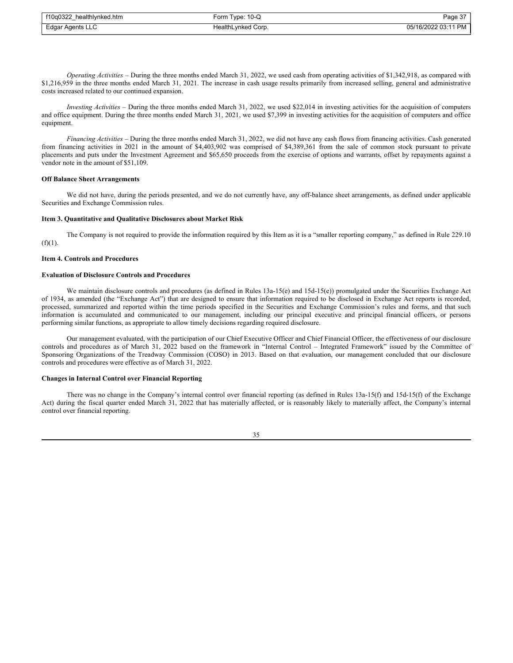| f10q0322 healthlynked.htm | Form Type: 10-Q    | Page 37             |
|---------------------------|--------------------|---------------------|
| Edgar Agents LLC          | HealthLynked Corp. | 05/16/2022 03:11 PM |

*Operating Activities* – During the three months ended March 31, 2022, we used cash from operating activities of \$1,342,918, as compared with \$1,216,959 in the three months ended March 31, 2021. The increase in cash usage results primarily from increased selling, general and administrative costs increased related to our continued expansion.

*Investing Activities* – During the three months ended March 31, 2022, we used \$22,014 in investing activities for the acquisition of computers and office equipment. During the three months ended March 31, 2021, we used \$7,399 in investing activities for the acquisition of computers and office equipment.

*Financing Activities* – During the three months ended March 31, 2022, we did not have any cash flows from financing activities. Cash generated from financing activities in 2021 in the amount of \$4,403,902 was comprised of \$4,389,361 from the sale of common stock pursuant to private placements and puts under the Investment Agreement and \$65,650 proceeds from the exercise of options and warrants, offset by repayments against a vendor note in the amount of \$51,109.

### **Off Balance Sheet Arrangements**

We did not have, during the periods presented, and we do not currently have, any off-balance sheet arrangements, as defined under applicable Securities and Exchange Commission rules.

### **Item 3. Quantitative and Qualitative Disclosures about Market Risk**

The Company is not required to provide the information required by this Item as it is a "smaller reporting company," as defined in Rule 229.10  $(f)(1)$ .

## **Item 4. Controls and Procedures**

## **Evaluation of Disclosure Controls and Procedures**

We maintain disclosure controls and procedures (as defined in Rules 13a-15(e) and 15d-15(e)) promulgated under the Securities Exchange Act of 1934, as amended (the "Exchange Act") that are designed to ensure that information required to be disclosed in Exchange Act reports is recorded, processed, summarized and reported within the time periods specified in the Securities and Exchange Commission's rules and forms, and that such information is accumulated and communicated to our management, including our principal executive and principal financial officers, or persons performing similar functions, as appropriate to allow timely decisions regarding required disclosure.

Our management evaluated, with the participation of our Chief Executive Officer and Chief Financial Officer, the effectiveness of our disclosure controls and procedures as of March 31, 2022 based on the framework in "Internal Control – Integrated Framework" issued by the Committee of Sponsoring Organizations of the Treadway Commission (COSO) in 2013. Based on that evaluation, our management concluded that our disclosure controls and procedures were effective as of March 31, 2022.

## **Changes in Internal Control over Financial Reporting**

There was no change in the Company's internal control over financial reporting (as defined in Rules 13a-15(f) and 15d-15(f) of the Exchange Act) during the fiscal quarter ended March 31, 2022 that has materially affected, or is reasonably likely to materially affect, the Company's internal control over financial reporting.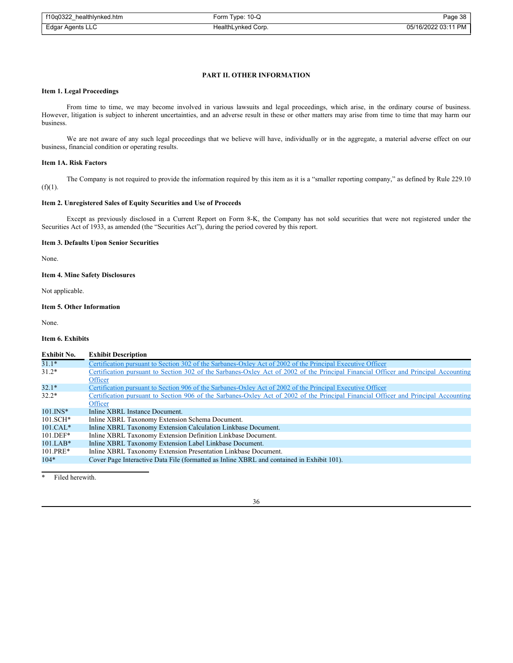| f10q0322_healthlynked.htm | Form Type: 10-Q    | Page 38             |
|---------------------------|--------------------|---------------------|
| Edgar Agents LLC          | HealthLynked Corp. | 05/16/2022 03:11 PM |

# **PART II. OTHER INFORMATION**

# **Item 1. Legal Proceedings**

From time to time, we may become involved in various lawsuits and legal proceedings, which arise, in the ordinary course of business. However, litigation is subject to inherent uncertainties, and an adverse result in these or other matters may arise from time to time that may harm our business.

We are not aware of any such legal proceedings that we believe will have, individually or in the aggregate, a material adverse effect on our business, financial condition or operating results.

#### **Item 1A. Risk Factors**

The Company is not required to provide the information required by this item as it is a "smaller reporting company," as defined by Rule 229.10 (f)(1).

## **Item 2. Unregistered Sales of Equity Securities and Use of Proceeds**

Except as previously disclosed in a Current Report on Form 8-K, the Company has not sold securities that were not registered under the Securities Act of 1933, as amended (the "Securities Act"), during the period covered by this report.

# **Item 3. Defaults Upon Senior Securities**

None.

# **Item 4. Mine Safety Disclosures**

Not applicable.

## **Item 5. Other Information**

None.

# **Item 6. Exhibits**

# **Exhibit No. Exhibit Description**

|              | ------------------------                                                                                                            |
|--------------|-------------------------------------------------------------------------------------------------------------------------------------|
| $31.1*$      | Certification pursuant to Section 302 of the Sarbanes-Oxley Act of 2002 of the Principal Executive Officer                          |
| $31.2*$      | Certification pursuant to Section 302 of the Sarbanes-Oxley Act of 2002 of the Principal Financial Officer and Principal Accounting |
|              | Officer                                                                                                                             |
| $32.1*$      | Certification pursuant to Section 906 of the Sarbanes-Oxley Act of 2002 of the Principal Executive Officer                          |
| $32.2*$      | Certification pursuant to Section 906 of the Sarbanes-Oxley Act of 2002 of the Principal Financial Officer and Principal Accounting |
|              | Officer                                                                                                                             |
| $101$ . INS* | Inline XBRL Instance Document.                                                                                                      |
| $101.SCH*$   | Inline XBRL Taxonomy Extension Schema Document.                                                                                     |
| $101.CAL*$   | Inline XBRL Taxonomy Extension Calculation Linkbase Document.                                                                       |
| $101.DEF*$   | Inline XBRL Taxonomy Extension Definition Linkbase Document.                                                                        |
| $101.LAB*$   | Inline XBRL Taxonomy Extension Label Linkbase Document.                                                                             |
| 101.PRE*     | Inline XBRL Taxonomy Extension Presentation Linkbase Document.                                                                      |
| $104*$       | Cover Page Interactive Data File (formatted as Inline XBRL and contained in Exhibit 101).                                           |

Filed herewith.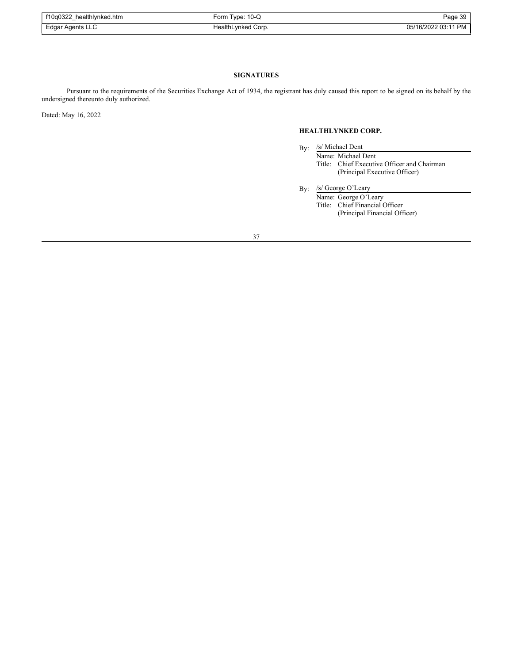| f10q0322 healthlynked.htm | Form Type: 10-Q    | Page 39             |
|---------------------------|--------------------|---------------------|
| Edgar Agents LLC          | HealthLynked Corp. | 05/16/2022 03:11 PM |

# **SIGNATURES**

Pursuant to the requirements of the Securities Exchange Act of 1934, the registrant has duly caused this report to be signed on its behalf by the undersigned thereunto duly authorized.

Dated: May 16, 2022

# **HEALTHLYNKED CORP.**

- By: /s/ Michael Dent
	- Name: Michael Dent Title: Chief Executive Officer and Chairman (Principal Executive Officer)
- By: /s/ George O'Leary
	- Name: George O'Leary Title: Chief Financial Officer (Principal Financial Officer)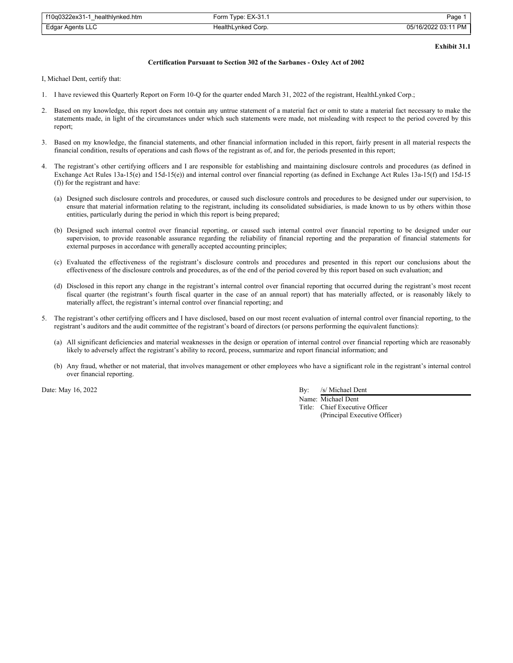| f10q0322ex31-1 healthlynked.htm | Form Type: EX-31.1 | Page                |
|---------------------------------|--------------------|---------------------|
| Edgar Agents LLC                | HealthLynked Corp. | 05/16/2022 03:11 PM |

**Exhibit 31.1**

## **Certification Pursuant to Section 302 of the Sarbanes - Oxley Act of 2002**

I, Michael Dent, certify that:

- 1. I have reviewed this Quarterly Report on Form 10-Q for the quarter ended March 31, 2022 of the registrant, HealthLynked Corp.;
- 2. Based on my knowledge, this report does not contain any untrue statement of a material fact or omit to state a material fact necessary to make the statements made, in light of the circumstances under which such statements were made, not misleading with respect to the period covered by this report;
- 3. Based on my knowledge, the financial statements, and other financial information included in this report, fairly present in all material respects the financial condition, results of operations and cash flows of the registrant as of, and for, the periods presented in this report;
- The registrant's other certifying officers and I are responsible for establishing and maintaining disclosure controls and procedures (as defined in Exchange Act Rules 13a-15(e) and 15d-15(e)) and internal control over financial reporting (as defined in Exchange Act Rules 13a-15(f) and 15d-15 (f)) for the registrant and have:
	- (a) Designed such disclosure controls and procedures, or caused such disclosure controls and procedures to be designed under our supervision, to ensure that material information relating to the registrant, including its consolidated subsidiaries, is made known to us by others within those entities, particularly during the period in which this report is being prepared;
	- (b) Designed such internal control over financial reporting, or caused such internal control over financial reporting to be designed under our supervision, to provide reasonable assurance regarding the reliability of financial reporting and the preparation of financial statements for external purposes in accordance with generally accepted accounting principles;
	- (c) Evaluated the effectiveness of the registrant's disclosure controls and procedures and presented in this report our conclusions about the effectiveness of the disclosure controls and procedures, as of the end of the period covered by this report based on such evaluation; and
	- (d) Disclosed in this report any change in the registrant's internal control over financial reporting that occurred during the registrant's most recent fiscal quarter (the registrant's fourth fiscal quarter in the case of an annual report) that has materially affected, or is reasonably likely to materially affect, the registrant's internal control over financial reporting; and
- 5. The registrant's other certifying officers and I have disclosed, based on our most recent evaluation of internal control over financial reporting, to the registrant's auditors and the audit committee of the registrant's board of directors (or persons performing the equivalent functions):
	- (a) All significant deficiencies and material weaknesses in the design or operation of internal control over financial reporting which are reasonably likely to adversely affect the registrant's ability to record, process, summarize and report financial information; and
	- (b) Any fraud, whether or not material, that involves management or other employees who have a significant role in the registrant's internal control over financial reporting.

# Date: May 16, 2022 By: /s/ Michael Dent

Name: Michael Dent Title: Chief Executive Officer (Principal Executive Officer)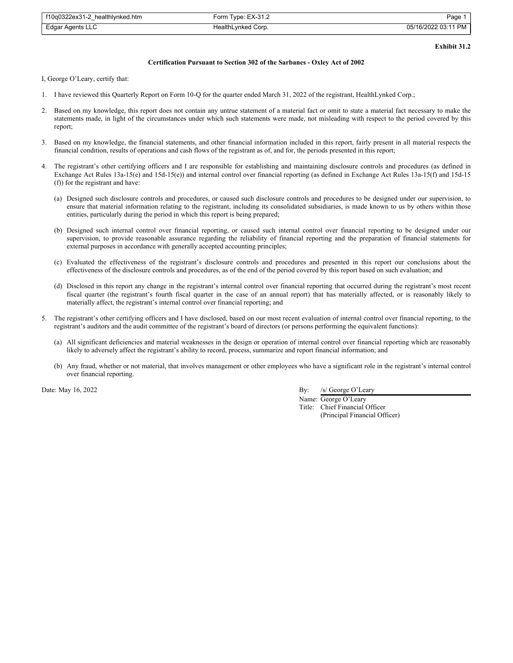| f10q0322ex31-2 healthlynked.htm | Form Type: EX-31.2 | Page                |
|---------------------------------|--------------------|---------------------|
| Edgar Agents LLC                | HealthLynked Corp. | 05/16/2022 03:11 PM |

**Exhibit 31.2**

# **Certification Pursuant to Section 302 of the Sarbanes - Oxley Act of 2002**

I, George O'Leary, certify that:

- 1. I have reviewed this Quarterly Report on Form 10-Q for the quarter ended March 31, 2022 of the registrant, HealthLynked Corp.;
- 2. Based on my knowledge, this report does not contain any untrue statement of a material fact or omit to state a material fact necessary to make the statements made, in light of the circumstances under which such statements were made, not misleading with respect to the period covered by this report;
- 3. Based on my knowledge, the financial statements, and other financial information included in this report, fairly present in all material respects the financial condition, results of operations and cash flows of the registrant as of, and for, the periods presented in this report;
- The registrant's other certifying officers and I are responsible for establishing and maintaining disclosure controls and procedures (as defined in Exchange Act Rules 13a-15(e) and 15d-15(e)) and internal control over financial reporting (as defined in Exchange Act Rules 13a-15(f) and 15d-15 (f)) for the registrant and have:
	- (a) Designed such disclosure controls and procedures, or caused such disclosure controls and procedures to be designed under our supervision, to ensure that material information relating to the registrant, including its consolidated subsidiaries, is made known to us by others within those entities, particularly during the period in which this report is being prepared;
	- (b) Designed such internal control over financial reporting, or caused such internal control over financial reporting to be designed under our supervision, to provide reasonable assurance regarding the reliability of financial reporting and the preparation of financial statements for external purposes in accordance with generally accepted accounting principles;
	- (c) Evaluated the effectiveness of the registrant's disclosure controls and procedures and presented in this report our conclusions about the effectiveness of the disclosure controls and procedures, as of the end of the period covered by this report based on such evaluation; and
	- (d) Disclosed in this report any change in the registrant's internal control over financial reporting that occurred during the registrant's most recent fiscal quarter (the registrant's fourth fiscal quarter in the case of an annual report) that has materially affected, or is reasonably likely to materially affect, the registrant's internal control over financial reporting; and
- 5. The registrant's other certifying officers and I have disclosed, based on our most recent evaluation of internal control over financial reporting, to the registrant's auditors and the audit committee of the registrant's board of directors (or persons performing the equivalent functions):
	- (a) All significant deficiencies and material weaknesses in the design or operation of internal control over financial reporting which are reasonably likely to adversely affect the registrant's ability to record, process, summarize and report financial information; and
	- (b) Any fraud, whether or not material, that involves management or other employees who have a significant role in the registrant's internal control over financial reporting.

# Date: May 16, 2022 By: /s/ George O'Leary

Name: George O'Leary Title: Chief Financial Officer (Principal Financial Officer)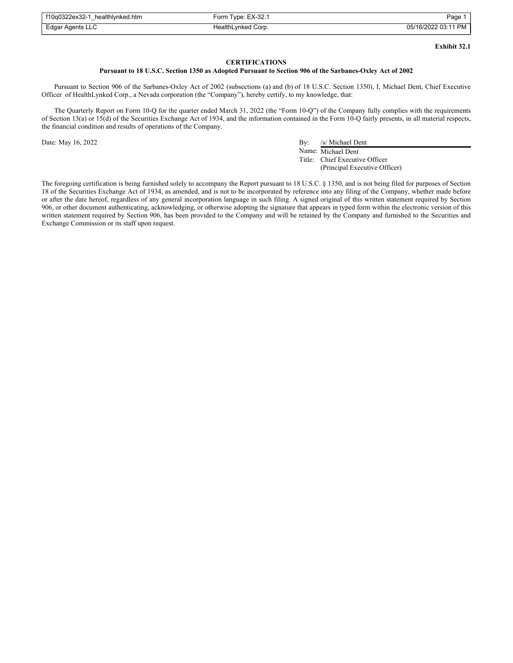| f10q0322ex32-1 healthlynked.htm | Form Type: EX-32.1 | Page                |
|---------------------------------|--------------------|---------------------|
| Edgar Agents LLC                | HealthLynked Corp. | 05/16/2022 03:11 PM |

**Exhibit 32.1**

## **CERTIFICATIONS**

## **Pursuant to 18 U.S.C. Section 1350 as Adopted Pursuant to Section 906 of the Sarbanes-Oxley Act of 2002**

Pursuant to Section 906 of the Sarbanes-Oxley Act of 2002 (subsections (a) and (b) of 18 U.S.C. Section 1350), I, Michael Dent, Chief Executive Officer of HealthLynked Corp., a Nevada corporation (the "Company"), hereby certify, to my knowledge, that:

The Quarterly Report on Form 10-Q for the quarter ended March 31, 2022 (the "Form 10-Q") of the Company fully complies with the requirements of Section 13(a) or 15(d) of the Securities Exchange Act of 1934, and the information contained in the Form 10-Q fairly presents, in all material respects, the financial condition and results of operations of the Company.

Date: May 16, 2022 By: /s/ Michael Dent

Name: Michael Dent Title: Chief Executive Officer (Principal Executive Officer)

The foregoing certification is being furnished solely to accompany the Report pursuant to 18 U.S.C. § 1350, and is not being filed for purposes of Section 18 of the Securities Exchange Act of 1934, as amended, and is not to be incorporated by reference into any filing of the Company, whether made before or after the date hereof, regardless of any general incorporation language in such filing. A signed original of this written statement required by Section 906, or other document authenticating, acknowledging, or otherwise adopting the signature that appears in typed form within the electronic version of this written statement required by Section 906, has been provided to the Company and will be retained by the Company and furnished to the Securities and Exchange Commission or its staff upon request.